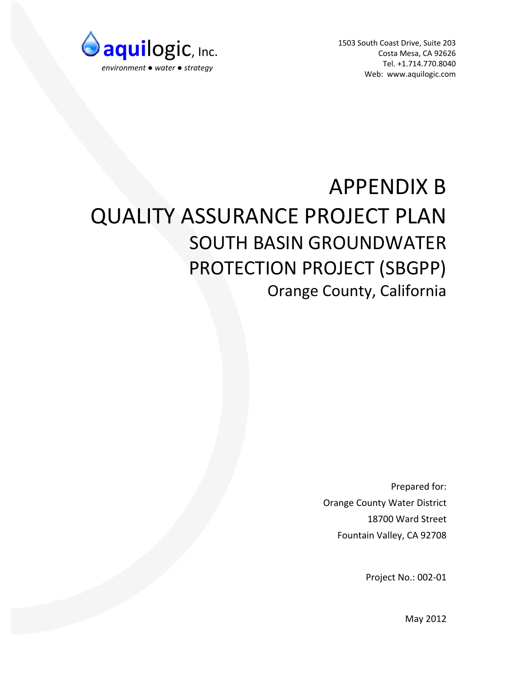

1503 South Coast Drive, Suite 203 Costa Mesa, CA 92626 Tel. +1.714.770.8040 Web: www.aquilogic.com

# APPENDIX B QUALITY ASSURANCE PROJECT PLAN SOUTH BASIN GROUNDWATER PROTECTION PROJECT (SBGPP) Orange County, California

Prepared for: Orange County Water District 18700 Ward Street Fountain Valley, CA 92708

Project No.: 002‐01

May 2012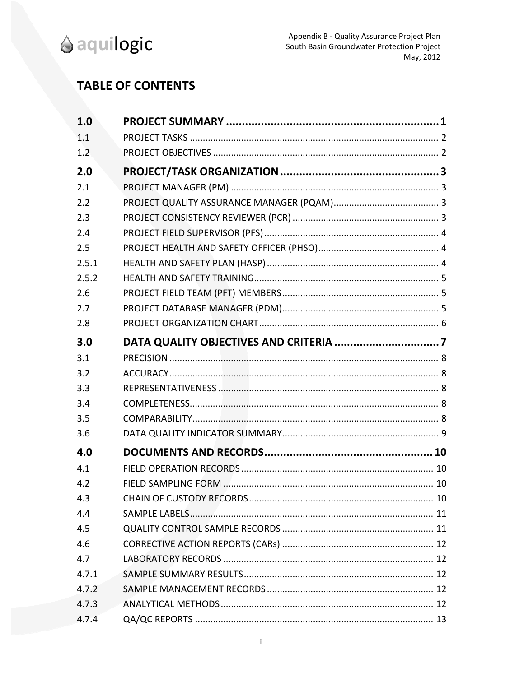

# **TABLE OF CONTENTS**

| 1.0   |  |
|-------|--|
| 1.1   |  |
| 1.2   |  |
| 2.0   |  |
| 2.1   |  |
| 2.2   |  |
| 2.3   |  |
| 2.4   |  |
| 2.5   |  |
| 2.5.1 |  |
| 2.5.2 |  |
| 2.6   |  |
| 2.7   |  |
| 2.8   |  |
| 3.0   |  |
| 3.1   |  |
| 3.2   |  |
| 3.3   |  |
| 3.4   |  |
| 3.5   |  |
| 3.6   |  |
| 4.0   |  |
| 4.1   |  |
| 4.2   |  |
| 4.3   |  |
| 4.4   |  |
| 4.5   |  |
| 4.6   |  |
| 4.7   |  |
| 4.7.1 |  |
| 4.7.2 |  |
| 4.7.3 |  |
| 4.7.4 |  |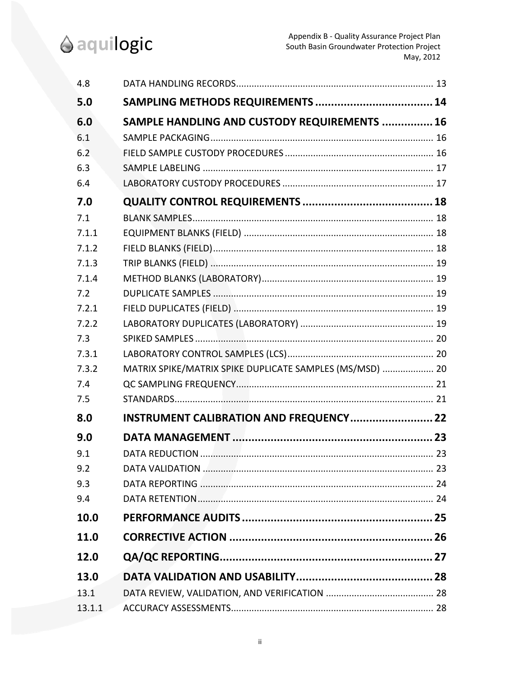

| 4.8    |                                                          |  |
|--------|----------------------------------------------------------|--|
| 5.0    |                                                          |  |
| 6.0    | SAMPLE HANDLING AND CUSTODY REQUIREMENTS  16             |  |
| 6.1    |                                                          |  |
| 6.2    |                                                          |  |
| 6.3    |                                                          |  |
| 6.4    |                                                          |  |
| 7.0    |                                                          |  |
| 7.1    |                                                          |  |
| 7.1.1  |                                                          |  |
| 7.1.2  |                                                          |  |
| 7.1.3  |                                                          |  |
| 7.1.4  |                                                          |  |
| 7.2    |                                                          |  |
| 7.2.1  |                                                          |  |
| 7.2.2  |                                                          |  |
| 7.3    |                                                          |  |
| 7.3.1  |                                                          |  |
| 7.3.2  | MATRIX SPIKE/MATRIX SPIKE DUPLICATE SAMPLES (MS/MSD)  20 |  |
| 7.4    |                                                          |  |
| 7.5    |                                                          |  |
| 8.0    | INSTRUMENT CALIBRATION AND FREQUENCY 22                  |  |
| 9.0    |                                                          |  |
| 9.1    |                                                          |  |
| 9.2    |                                                          |  |
| 9.3    |                                                          |  |
| 9.4    |                                                          |  |
| 10.0   |                                                          |  |
| 11.0   |                                                          |  |
| 12.0   |                                                          |  |
| 13.0   |                                                          |  |
| 13.1   |                                                          |  |
| 13.1.1 |                                                          |  |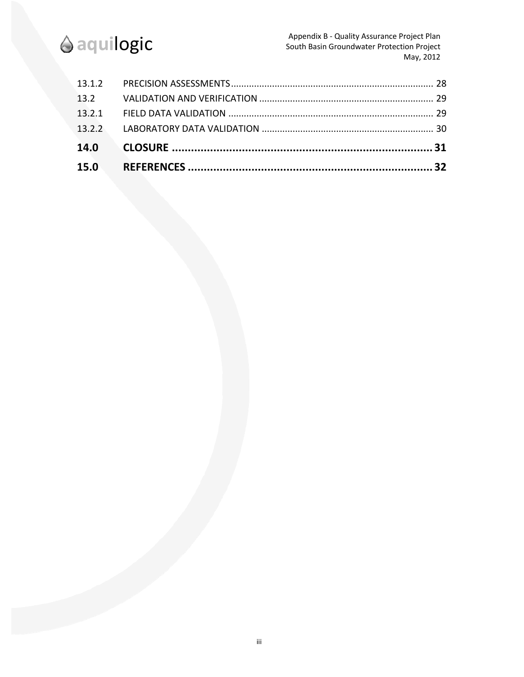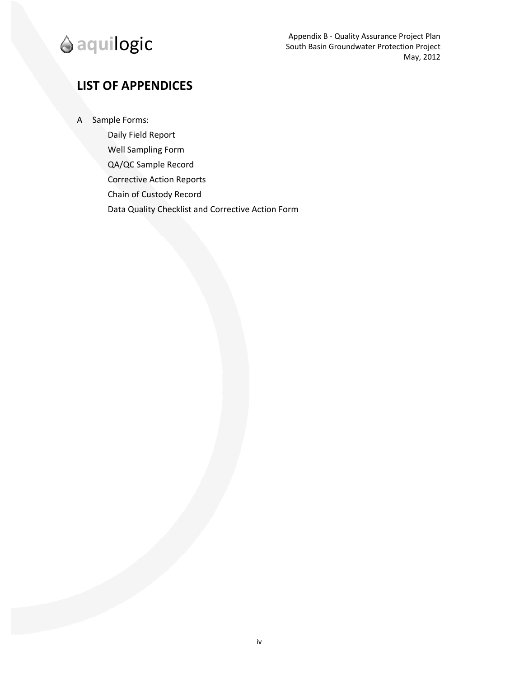# **LIST OF APPENDICES**

A Sample Forms:

Daily Field Report Well Sampling Form QA/QC Sample Record Corrective Action Reports Chain of Custody Record Data Quality Checklist and Corrective Action Form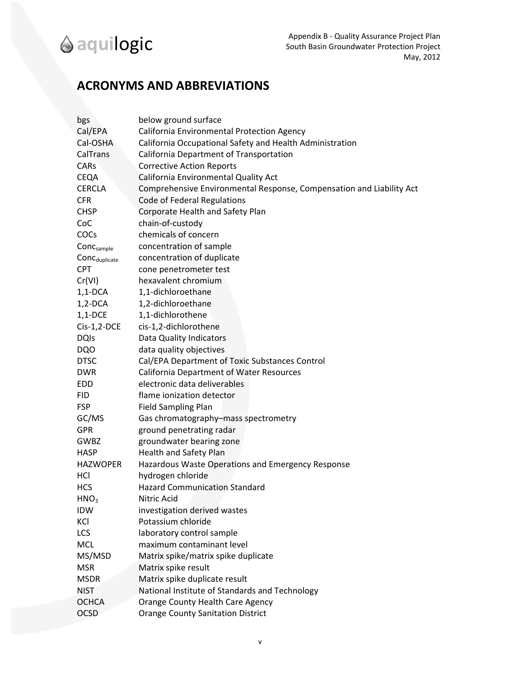# **ACRONYMS AND ABBREVIATIONS**

| bgs                       | below ground surface                                                 |
|---------------------------|----------------------------------------------------------------------|
| Cal/EPA                   | California Environmental Protection Agency                           |
| Cal-OSHA                  | California Occupational Safety and Health Administration             |
| CalTrans                  | California Department of Transportation                              |
| <b>CARs</b>               | <b>Corrective Action Reports</b>                                     |
| <b>CEQA</b>               | California Environmental Quality Act                                 |
| <b>CERCLA</b>             | Comprehensive Environmental Response, Compensation and Liability Act |
| <b>CFR</b>                | Code of Federal Regulations                                          |
| <b>CHSP</b>               | Corporate Health and Safety Plan                                     |
| CoC                       | chain-of-custody                                                     |
| COCs                      | chemicals of concern                                                 |
| Conc <sub>sample</sub>    | concentration of sample                                              |
| $ConC_{\text{duplicate}}$ | concentration of duplicate                                           |
| <b>CPT</b>                | cone penetrometer test                                               |
| Cr(VI)                    | hexavalent chromium                                                  |
| $1,1$ -DCA                | 1,1-dichloroethane                                                   |
| $1,2$ -DCA                | 1,2-dichloroethane                                                   |
| $1,1$ -DCE                | 1,1-dichlorothene                                                    |
| $Cis-1,2-DCE$             | cis-1,2-dichlorothene                                                |
| <b>DQIs</b>               | Data Quality Indicators                                              |
| <b>DQO</b>                | data quality objectives                                              |
| <b>DTSC</b>               | Cal/EPA Department of Toxic Substances Control                       |
| <b>DWR</b>                | <b>California Department of Water Resources</b>                      |
| EDD                       | electronic data deliverables                                         |
| <b>FID</b>                | flame ionization detector                                            |
| <b>FSP</b>                | <b>Field Sampling Plan</b>                                           |
| GC/MS                     | Gas chromatography-mass spectrometry                                 |
| <b>GPR</b>                | ground penetrating radar                                             |
| GWBZ                      | groundwater bearing zone                                             |
| <b>HASP</b>               | Health and Safety Plan                                               |
| <b>HAZWOPER</b>           | Hazardous Waste Operations and Emergency Response                    |
| HCI                       | hydrogen chloride                                                    |
| <b>HCS</b>                | <b>Hazard Communication Standard</b>                                 |
| HNO <sub>3</sub>          | Nitric Acid                                                          |
| <b>IDW</b>                | investigation derived wastes                                         |
| KCI                       | Potassium chloride                                                   |
| LCS                       | laboratory control sample                                            |
| <b>MCL</b>                | maximum contaminant level                                            |
| MS/MSD                    | Matrix spike/matrix spike duplicate                                  |
| <b>MSR</b>                | Matrix spike result                                                  |
| <b>MSDR</b>               | Matrix spike duplicate result                                        |
| <b>NIST</b>               | National Institute of Standards and Technology                       |
| <b>OCHCA</b>              | <b>Orange County Health Care Agency</b>                              |
| <b>OCSD</b>               | <b>Orange County Sanitation District</b>                             |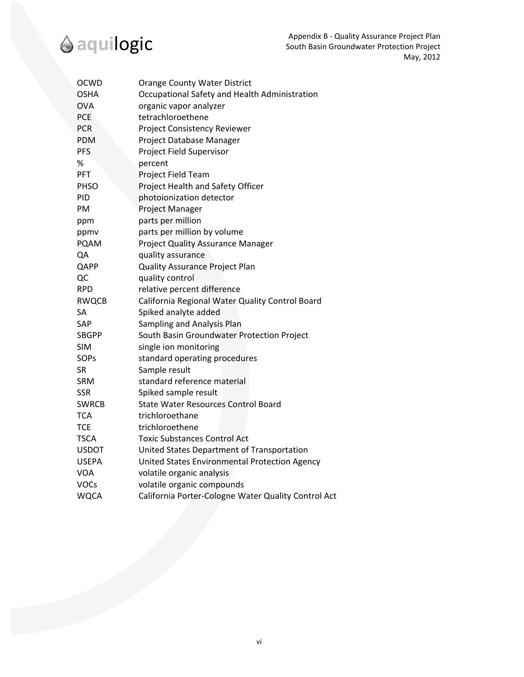

| <b>OCWD</b>  | <b>Orange County Water District</b>                 |
|--------------|-----------------------------------------------------|
| <b>OSHA</b>  | Occupational Safety and Health Administration       |
| <b>OVA</b>   | organic vapor analyzer                              |
| <b>PCE</b>   | tetrachloroethene                                   |
| <b>PCR</b>   | Project Consistency Reviewer                        |
| <b>PDM</b>   | Project Database Manager                            |
| <b>PFS</b>   | Project Field Supervisor                            |
| %            | percent                                             |
| <b>PFT</b>   | Project Field Team                                  |
| <b>PHSO</b>  | Project Health and Safety Officer                   |
| PID          | photoionization detector                            |
| PM           | Project Manager                                     |
| ppm          | parts per million                                   |
| ppmv         | parts per million by volume                         |
| <b>PQAM</b>  | Project Quality Assurance Manager                   |
| QA           | quality assurance                                   |
| QAPP         | Quality Assurance Project Plan                      |
| QC           | quality control                                     |
| <b>RPD</b>   | relative percent difference                         |
| <b>RWQCB</b> | California Regional Water Quality Control Board     |
| SА           | Spiked analyte added                                |
| SAP          | Sampling and Analysis Plan                          |
| <b>SBGPP</b> | South Basin Groundwater Protection Project          |
| <b>SIM</b>   | single ion monitoring                               |
| <b>SOPs</b>  | standard operating procedures                       |
| <b>SR</b>    | Sample result                                       |
| <b>SRM</b>   | standard reference material                         |
| <b>SSR</b>   | Spiked sample result                                |
| <b>SWRCB</b> | <b>State Water Resources Control Board</b>          |
| <b>TCA</b>   | trichloroethane                                     |
| <b>TCE</b>   | trichloroethene                                     |
| <b>TSCA</b>  | Toxic Substances Control Act                        |
| <b>USDOT</b> | United States Department of Transportation          |
| <b>USEPA</b> | United States Environmental Protection Agency       |
| <b>VOA</b>   | volatile organic analysis                           |
| <b>VOCs</b>  | volatile organic compounds                          |
| <b>WQCA</b>  | California Porter-Cologne Water Quality Control Act |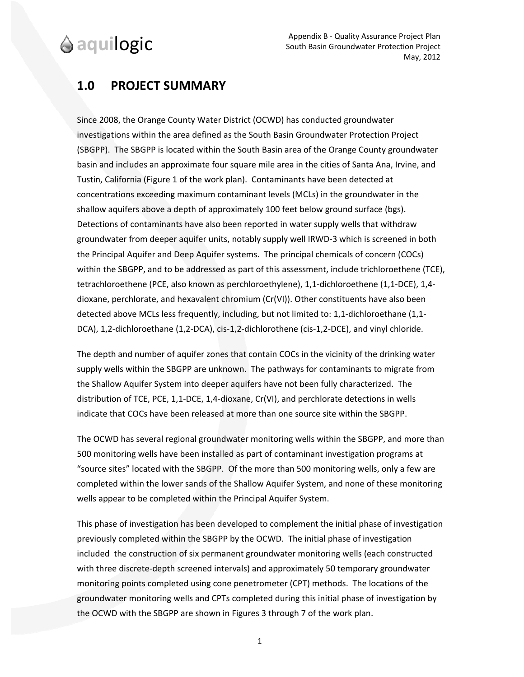# **1.0 PROJECT SUMMARY**

Since 2008, the Orange County Water District (OCWD) has conducted groundwater investigations within the area defined as the South Basin Groundwater Protection Project (SBGPP). The SBGPP is located within the South Basin area of the Orange County groundwater basin and includes an approximate four square mile area in the cities of Santa Ana, Irvine, and Tustin, California (Figure 1 of the work plan). Contaminants have been detected at concentrations exceeding maximum contaminant levels (MCLs) in the groundwater in the shallow aquifers above a depth of approximately 100 feet below ground surface (bgs). Detections of contaminants have also been reported in water supply wells that withdraw groundwater from deeper aquifer units, notably supply well IRWD‐3 which is screened in both the Principal Aquifer and Deep Aquifer systems. The principal chemicals of concern (COCs) within the SBGPP, and to be addressed as part of this assessment, include trichloroethene (TCE), tetrachloroethene (PCE, also known as perchloroethylene), 1,1‐dichloroethene (1,1‐DCE), 1,4‐ dioxane, perchlorate, and hexavalent chromium (Cr(VI)). Other constituents have also been detected above MCLs less frequently, including, but not limited to: 1,1‐dichloroethane (1,1‐ DCA), 1,2‐dichloroethane (1,2‐DCA), cis‐1,2‐dichlorothene (cis‐1,2‐DCE), and vinyl chloride.

The depth and number of aquifer zones that contain COCs in the vicinity of the drinking water supply wells within the SBGPP are unknown. The pathways for contaminants to migrate from the Shallow Aquifer System into deeper aquifers have not been fully characterized. The distribution of TCE, PCE, 1,1-DCE, 1,4-dioxane, Cr(VI), and perchlorate detections in wells indicate that COCs have been released at more than one source site within the SBGPP.

The OCWD has several regional groundwater monitoring wells within the SBGPP, and more than 500 monitoring wells have been installed as part of contaminant investigation programs at "source sites" located with the SBGPP. Of the more than 500 monitoring wells, only a few are completed within the lower sands of the Shallow Aquifer System, and none of these monitoring wells appear to be completed within the Principal Aquifer System.

This phase of investigation has been developed to complement the initial phase of investigation previously completed within the SBGPP by the OCWD. The initial phase of investigation included the construction of six permanent groundwater monitoring wells (each constructed with three discrete-depth screened intervals) and approximately 50 temporary groundwater monitoring points completed using cone penetrometer (CPT) methods. The locations of the groundwater monitoring wells and CPTs completed during this initial phase of investigation by the OCWD with the SBGPP are shown in Figures 3 through 7 of the work plan.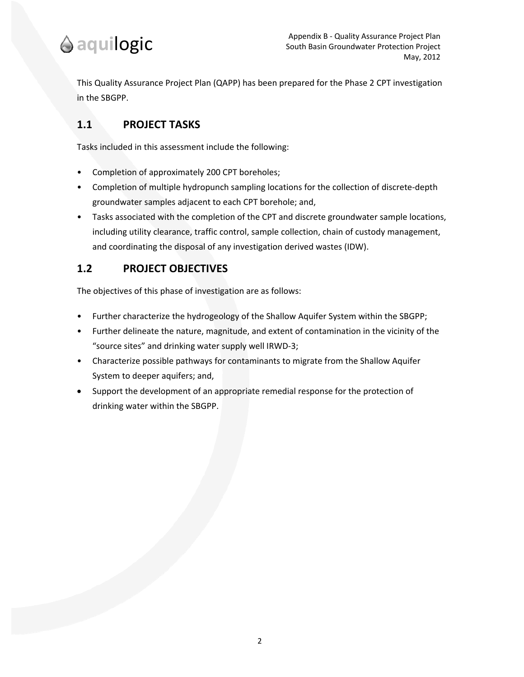

This Quality Assurance Project Plan (QAPP) has been prepared for the Phase 2 CPT investigation in the SBGPP.

### **1.1 PROJECT TASKS**

Tasks included in this assessment include the following:

- Completion of approximately 200 CPT boreholes;
- Completion of multiple hydropunch sampling locations for the collection of discrete‐depth groundwater samples adjacent to each CPT borehole; and,
- Tasks associated with the completion of the CPT and discrete groundwater sample locations, including utility clearance, traffic control, sample collection, chain of custody management, and coordinating the disposal of any investigation derived wastes (IDW).

### **1.2 PROJECT OBJECTIVES**

The objectives of this phase of investigation are as follows:

- Further characterize the hydrogeology of the Shallow Aquifer System within the SBGPP;
- Further delineate the nature, magnitude, and extent of contamination in the vicinity of the "source sites" and drinking water supply well IRWD‐3;
- Characterize possible pathways for contaminants to migrate from the Shallow Aquifer System to deeper aquifers; and,
- Support the development of an appropriate remedial response for the protection of drinking water within the SBGPP.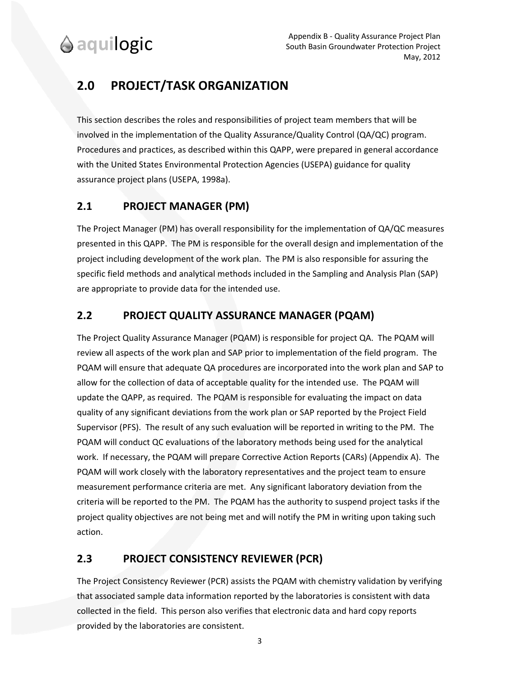# **2.0 PROJECT/TASK ORGANIZATION**

This section describes the roles and responsibilities of project team members that will be involved in the implementation of the Quality Assurance/Quality Control (QA/QC) program. Procedures and practices, as described within this QAPP, were prepared in general accordance with the United States Environmental Protection Agencies (USEPA) guidance for quality assurance project plans (USEPA, 1998a).

### **2.1 PROJECT MANAGER (PM)**

The Project Manager (PM) has overall responsibility for the implementation of QA/QC measures presented in this QAPP. The PM is responsible for the overall design and implementation of the project including development of the work plan. The PM is also responsible for assuring the specific field methods and analytical methods included in the Sampling and Analysis Plan (SAP) are appropriate to provide data for the intended use.

### **2.2 PROJECT QUALITY ASSURANCE MANAGER (PQAM)**

The Project Quality Assurance Manager (PQAM) is responsible for project QA. The PQAM will review all aspects of the work plan and SAP prior to implementation of the field program. The PQAM will ensure that adequate QA procedures are incorporated into the work plan and SAP to allow for the collection of data of acceptable quality for the intended use. The PQAM will update the QAPP, as required. The PQAM is responsible for evaluating the impact on data quality of any significant deviations from the work plan or SAP reported by the Project Field Supervisor (PFS). The result of any such evaluation will be reported in writing to the PM. The PQAM will conduct QC evaluations of the laboratory methods being used for the analytical work. If necessary, the PQAM will prepare Corrective Action Reports (CARs) (Appendix A). The PQAM will work closely with the laboratory representatives and the project team to ensure measurement performance criteria are met. Any significant laboratory deviation from the criteria will be reported to the PM. The PQAM has the authority to suspend project tasks if the project quality objectives are not being met and will notify the PM in writing upon taking such action.

### **2.3 PROJECT CONSISTENCY REVIEWER (PCR)**

The Project Consistency Reviewer (PCR) assists the PQAM with chemistry validation by verifying that associated sample data information reported by the laboratories is consistent with data collected in the field. This person also verifies that electronic data and hard copy reports provided by the laboratories are consistent.

3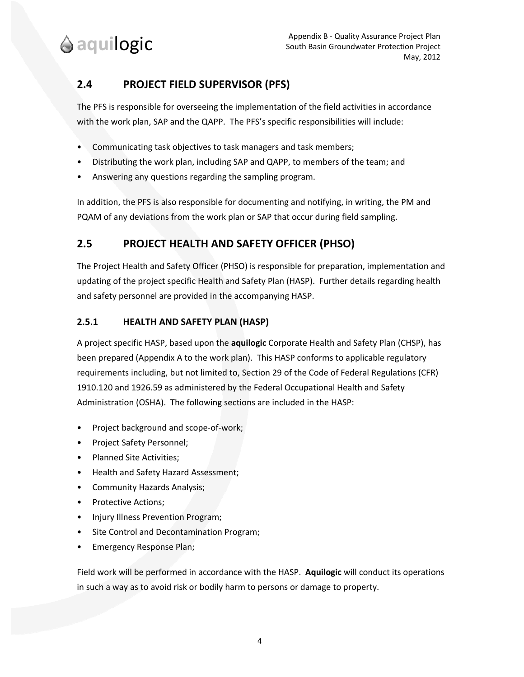### **2.4 PROJECT FIELD SUPERVISOR (PFS)**

The PFS is responsible for overseeing the implementation of the field activities in accordance with the work plan, SAP and the QAPP. The PFS's specific responsibilities will include:

- Communicating task objectives to task managers and task members;
- Distributing the work plan, including SAP and QAPP, to members of the team; and
- Answering any questions regarding the sampling program.

In addition, the PFS is also responsible for documenting and notifying, in writing, the PM and PQAM of any deviations from the work plan or SAP that occur during field sampling.

### **2.5 PROJECT HEALTH AND SAFETY OFFICER (PHSO)**

The Project Health and Safety Officer (PHSO) is responsible for preparation, implementation and updating of the project specific Health and Safety Plan (HASP). Further details regarding health and safety personnel are provided in the accompanying HASP.

#### **2.5.1 HEALTH AND SAFETY PLAN (HASP)**

A project specific HASP, based upon the **aquilogic** Corporate Health and Safety Plan (CHSP), has been prepared (Appendix A to the work plan). This HASP conforms to applicable regulatory requirements including, but not limited to, Section 29 of the Code of Federal Regulations (CFR) 1910.120 and 1926.59 as administered by the Federal Occupational Health and Safety Administration (OSHA). The following sections are included in the HASP:

- Project background and scope‐of‐work;
- Project Safety Personnel;
- Planned Site Activities;
- Health and Safety Hazard Assessment;
- Community Hazards Analysis;
- Protective Actions;
- Injury Illness Prevention Program;
- Site Control and Decontamination Program;
- Emergency Response Plan;

Field work will be performed in accordance with the HASP. **Aquilogic** will conduct its operations in such a way as to avoid risk or bodily harm to persons or damage to property.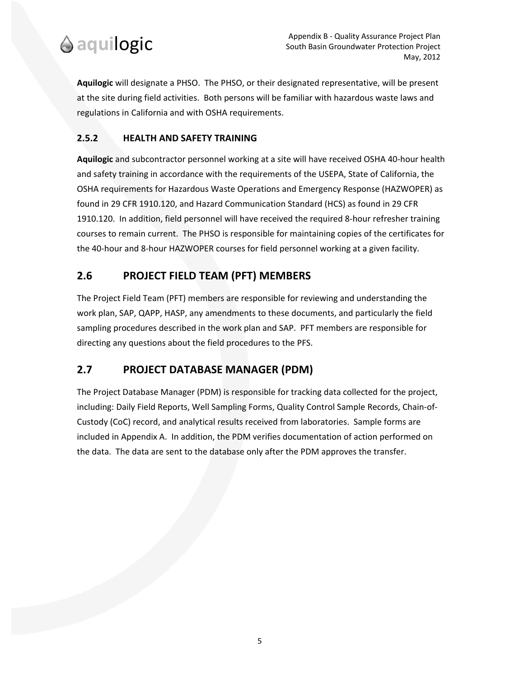

**Aquilogic** will designate a PHSO. The PHSO, or their designated representative, will be present at the site during field activities. Both persons will be familiar with hazardous waste laws and regulations in California and with OSHA requirements.

#### **2.5.2 HEALTH AND SAFETY TRAINING**

**Aquilogic** and subcontractor personnel working at a site will have received OSHA 40‐hour health and safety training in accordance with the requirements of the USEPA, State of California, the OSHA requirements for Hazardous Waste Operations and Emergency Response (HAZWOPER) as found in 29 CFR 1910.120, and Hazard Communication Standard (HCS) as found in 29 CFR 1910.120. In addition, field personnel will have received the required 8‐hour refresher training courses to remain current. The PHSO is responsible for maintaining copies of the certificates for the 40‐hour and 8‐hour HAZWOPER courses for field personnel working at a given facility.

### **2.6 PROJECT FIELD TEAM (PFT) MEMBERS**

The Project Field Team (PFT) members are responsible for reviewing and understanding the work plan, SAP, QAPP, HASP, any amendments to these documents, and particularly the field sampling procedures described in the work plan and SAP. PFT members are responsible for directing any questions about the field procedures to the PFS.

### **2.7 PROJECT DATABASE MANAGER (PDM)**

The Project Database Manager (PDM) is responsible for tracking data collected for the project, including: Daily Field Reports, Well Sampling Forms, Quality Control Sample Records, Chain‐of‐ Custody (CoC) record, and analytical results received from laboratories. Sample forms are included in Appendix A. In addition, the PDM verifies documentation of action performed on the data. The data are sent to the database only after the PDM approves the transfer.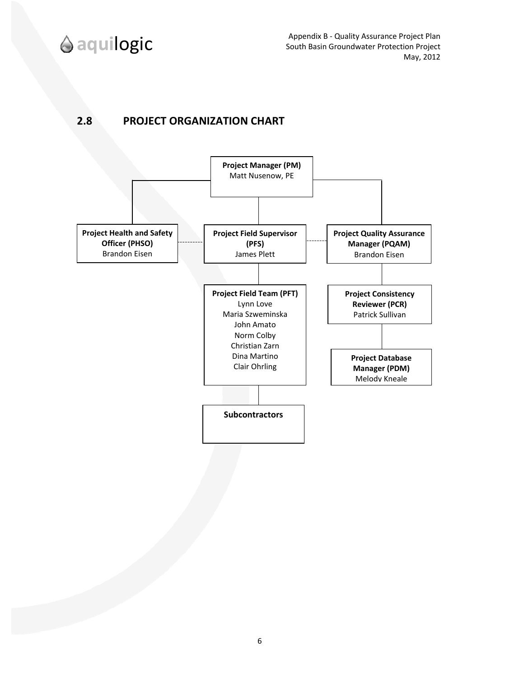

Appendix B ‐ Quality Assurance Project Plan South Basin Groundwater Protection Project May, 2012

### **2.8 PROJECT ORGANIZATION CHART**

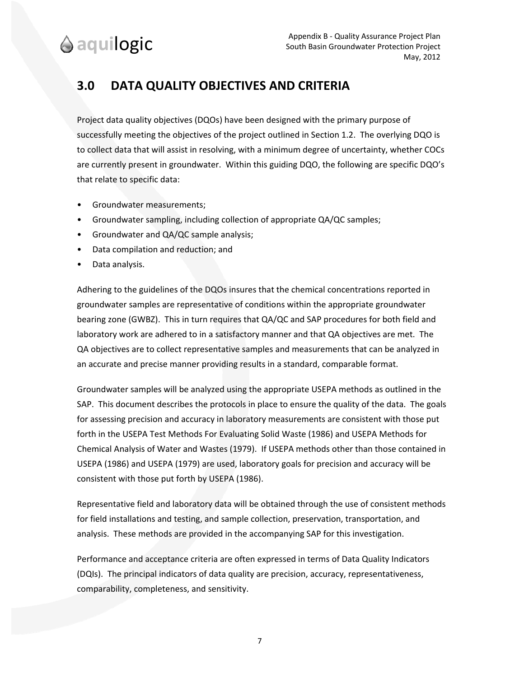# **3.0 DATA QUALITY OBJECTIVES AND CRITERIA**

Project data quality objectives (DQOs) have been designed with the primary purpose of successfully meeting the objectives of the project outlined in Section 1.2. The overlying DQO is to collect data that will assist in resolving, with a minimum degree of uncertainty, whether COCs are currently present in groundwater. Within this guiding DQO, the following are specific DQO's that relate to specific data:

- Groundwater measurements;
- Groundwater sampling, including collection of appropriate QA/QC samples;
- Groundwater and QA/QC sample analysis;
- Data compilation and reduction; and
- Data analysis.

Adhering to the guidelines of the DQOs insures that the chemical concentrations reported in groundwater samples are representative of conditions within the appropriate groundwater bearing zone (GWBZ). This in turn requires that QA/QC and SAP procedures for both field and laboratory work are adhered to in a satisfactory manner and that QA objectives are met. The QA objectives are to collect representative samples and measurements that can be analyzed in an accurate and precise manner providing results in a standard, comparable format.

Groundwater samples will be analyzed using the appropriate USEPA methods as outlined in the SAP. This document describes the protocols in place to ensure the quality of the data. The goals for assessing precision and accuracy in laboratory measurements are consistent with those put forth in the USEPA Test Methods For Evaluating Solid Waste (1986) and USEPA Methods for Chemical Analysis of Water and Wastes (1979). If USEPA methods other than those contained in USEPA (1986) and USEPA (1979) are used, laboratory goals for precision and accuracy will be consistent with those put forth by USEPA (1986).

Representative field and laboratory data will be obtained through the use of consistent methods for field installations and testing, and sample collection, preservation, transportation, and analysis. These methods are provided in the accompanying SAP for this investigation.

Performance and acceptance criteria are often expressed in terms of Data Quality Indicators (DQIs). The principal indicators of data quality are precision, accuracy, representativeness, comparability, completeness, and sensitivity.

7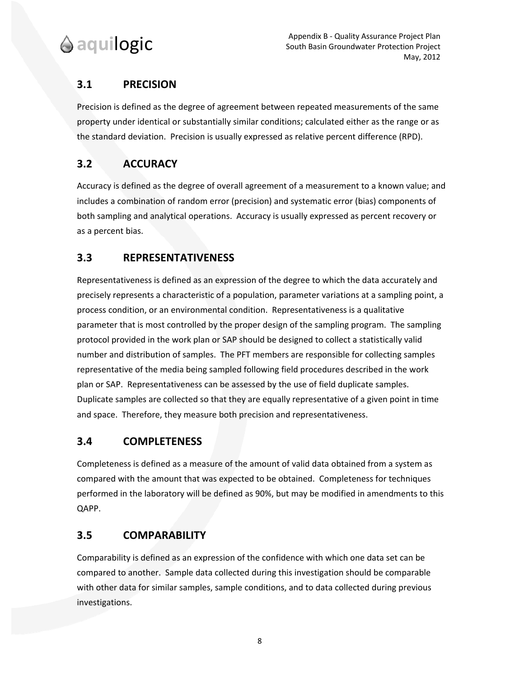

### **3.1 PRECISION**

Precision is defined as the degree of agreement between repeated measurements of the same property under identical or substantially similar conditions; calculated either as the range or as the standard deviation. Precision is usually expressed as relative percent difference (RPD).

## **3.2 ACCURACY**

Accuracy is defined as the degree of overall agreement of a measurement to a known value; and includes a combination of random error (precision) and systematic error (bias) components of both sampling and analytical operations. Accuracy is usually expressed as percent recovery or as a percent bias.

### **3.3 REPRESENTATIVENESS**

Representativeness is defined as an expression of the degree to which the data accurately and precisely represents a characteristic of a population, parameter variations at a sampling point, a process condition, or an environmental condition. Representativeness is a qualitative parameter that is most controlled by the proper design of the sampling program. The sampling protocol provided in the work plan or SAP should be designed to collect a statistically valid number and distribution of samples. The PFT members are responsible for collecting samples representative of the media being sampled following field procedures described in the work plan or SAP. Representativeness can be assessed by the use of field duplicate samples. Duplicate samples are collected so that they are equally representative of a given point in time and space. Therefore, they measure both precision and representativeness.

### **3.4 COMPLETENESS**

Completeness is defined as a measure of the amount of valid data obtained from a system as compared with the amount that was expected to be obtained. Completeness for techniques performed in the laboratory will be defined as 90%, but may be modified in amendments to this QAPP.

## **3.5 COMPARABILITY**

Comparability is defined as an expression of the confidence with which one data set can be compared to another. Sample data collected during this investigation should be comparable with other data for similar samples, sample conditions, and to data collected during previous investigations.

8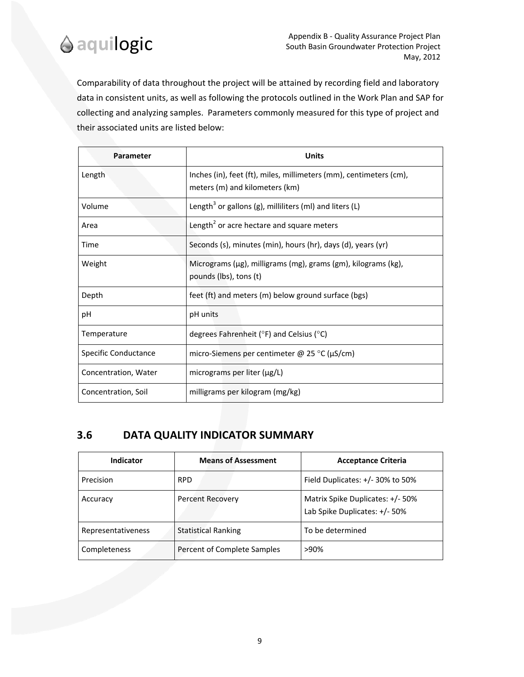

Comparability of data throughout the project will be attained by recording field and laboratory data in consistent units, as well as following the protocols outlined in the Work Plan and SAP for collecting and analyzing samples. Parameters commonly measured for this type of project and their associated units are listed below:

| Parameter            | <b>Units</b>                                                                                         |
|----------------------|------------------------------------------------------------------------------------------------------|
| Length               | Inches (in), feet (ft), miles, millimeters (mm), centimeters (cm),<br>meters (m) and kilometers (km) |
| Volume               | Length <sup>3</sup> or gallons (g), milliliters (ml) and liters (L)                                  |
| Area                 | Length <sup>2</sup> or acre hectare and square meters                                                |
| Time                 | Seconds (s), minutes (min), hours (hr), days (d), years (yr)                                         |
| Weight               | Micrograms (μg), milligrams (mg), grams (gm), kilograms (kg),<br>pounds (lbs), tons (t)              |
| Depth                | feet (ft) and meters (m) below ground surface (bgs)                                                  |
| рH                   | pH units                                                                                             |
| Temperature          | degrees Fahrenheit ( $\degree$ F) and Celsius ( $\degree$ C)                                         |
| Specific Conductance | micro-Siemens per centimeter @ 25 °C (μS/cm)                                                         |
| Concentration, Water | micrograms per liter (µg/L)                                                                          |
| Concentration, Soil  | milligrams per kilogram (mg/kg)                                                                      |

### **3.6 DATA QUALITY INDICATOR SUMMARY**

| <b>Indicator</b>   | <b>Means of Assessment</b>  | <b>Acceptance Criteria</b>                                        |
|--------------------|-----------------------------|-------------------------------------------------------------------|
| Precision          | <b>RPD</b>                  | Field Duplicates: +/- 30% to 50%                                  |
| Accuracy           | <b>Percent Recovery</b>     | Matrix Spike Duplicates: +/- 50%<br>Lab Spike Duplicates: +/- 50% |
| Representativeness | <b>Statistical Ranking</b>  | To be determined                                                  |
| Completeness       | Percent of Complete Samples | $>90\%$                                                           |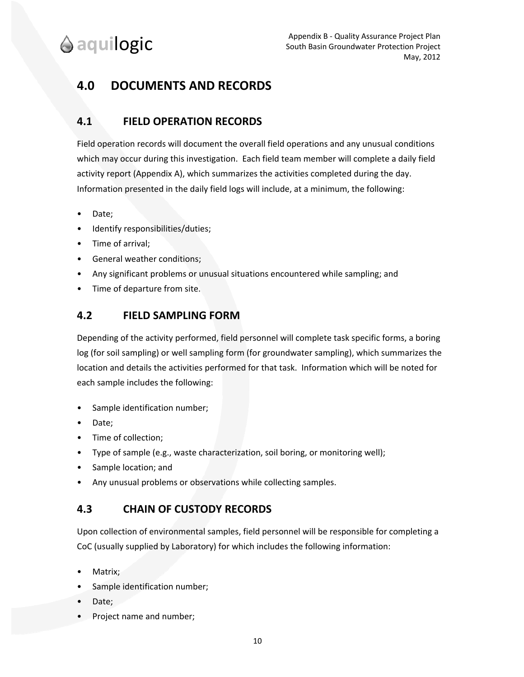# **4.0 DOCUMENTS AND RECORDS**

### **4.1 FIELD OPERATION RECORDS**

Field operation records will document the overall field operations and any unusual conditions which may occur during this investigation. Each field team member will complete a daily field activity report (Appendix A), which summarizes the activities completed during the day. Information presented in the daily field logs will include, at a minimum, the following:

- Date;
- Identify responsibilities/duties;
- Time of arrival;
- General weather conditions;
- Any significant problems or unusual situations encountered while sampling; and
- Time of departure from site.

#### **4.2 FIELD SAMPLING FORM**

Depending of the activity performed, field personnel will complete task specific forms, a boring log (for soil sampling) or well sampling form (for groundwater sampling), which summarizes the location and details the activities performed for that task. Information which will be noted for each sample includes the following:

- Sample identification number;
- Date;
- Time of collection;
- Type of sample (e.g., waste characterization, soil boring, or monitoring well);
- Sample location; and
- Any unusual problems or observations while collecting samples.

#### **4.3 CHAIN OF CUSTODY RECORDS**

Upon collection of environmental samples, field personnel will be responsible for completing a CoC (usually supplied by Laboratory) for which includes the following information:

- Matrix;
- Sample identification number;
- Date;
- Project name and number;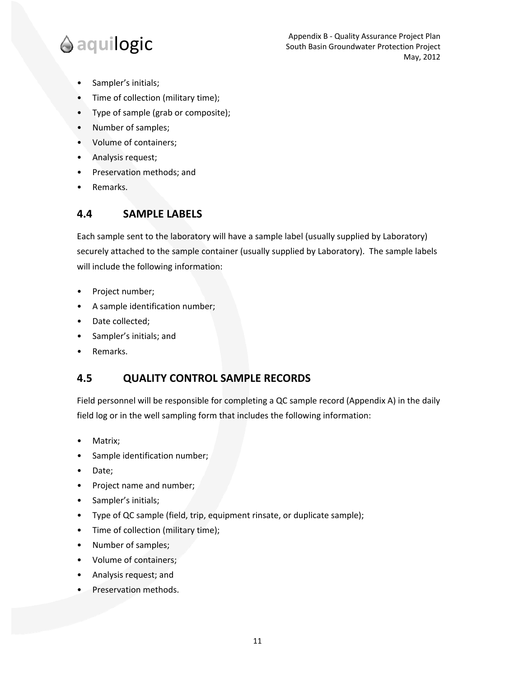- Sampler's initials;
- Time of collection (military time);
- Type of sample (grab or composite);
- Number of samples;
- Volume of containers;
- Analysis request;
- Preservation methods; and
- Remarks.

#### **4.4 SAMPLE LABELS**

Each sample sent to the laboratory will have a sample label (usually supplied by Laboratory) securely attached to the sample container (usually supplied by Laboratory). The sample labels will include the following information:

- Project number;
- A sample identification number;
- Date collected;
- Sampler's initials; and
- Remarks.

#### **4.5 QUALITY CONTROL SAMPLE RECORDS**

Field personnel will be responsible for completing a QC sample record (Appendix A) in the daily field log or in the well sampling form that includes the following information:

- Matrix;
- Sample identification number;
- Date;
- Project name and number;
- Sampler's initials;
- Type of QC sample (field, trip, equipment rinsate, or duplicate sample);
- Time of collection (military time);
- Number of samples;
- Volume of containers;
- Analysis request; and
- Preservation methods.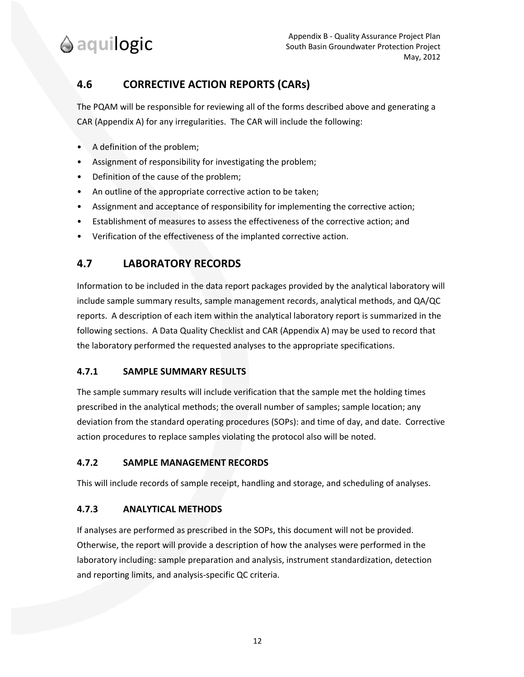## **4.6 CORRECTIVE ACTION REPORTS (CARs)**

The PQAM will be responsible for reviewing all of the forms described above and generating a CAR (Appendix A) for any irregularities. The CAR will include the following:

- A definition of the problem;
- Assignment of responsibility for investigating the problem;
- Definition of the cause of the problem;
- An outline of the appropriate corrective action to be taken;
- Assignment and acceptance of responsibility for implementing the corrective action;
- Establishment of measures to assess the effectiveness of the corrective action; and
- Verification of the effectiveness of the implanted corrective action.

### **4.7 LABORATORY RECORDS**

Information to be included in the data report packages provided by the analytical laboratory will include sample summary results, sample management records, analytical methods, and QA/QC reports. A description of each item within the analytical laboratory report is summarized in the following sections. A Data Quality Checklist and CAR (Appendix A) may be used to record that the laboratory performed the requested analyses to the appropriate specifications.

#### **4.7.1 SAMPLE SUMMARY RESULTS**

The sample summary results will include verification that the sample met the holding times prescribed in the analytical methods; the overall number of samples; sample location; any deviation from the standard operating procedures (SOPs): and time of day, and date. Corrective action procedures to replace samples violating the protocol also will be noted.

#### **4.7.2 SAMPLE MANAGEMENT RECORDS**

This will include records of sample receipt, handling and storage, and scheduling of analyses.

#### **4.7.3 ANALYTICAL METHODS**

If analyses are performed as prescribed in the SOPs, this document will not be provided. Otherwise, the report will provide a description of how the analyses were performed in the laboratory including: sample preparation and analysis, instrument standardization, detection and reporting limits, and analysis‐specific QC criteria.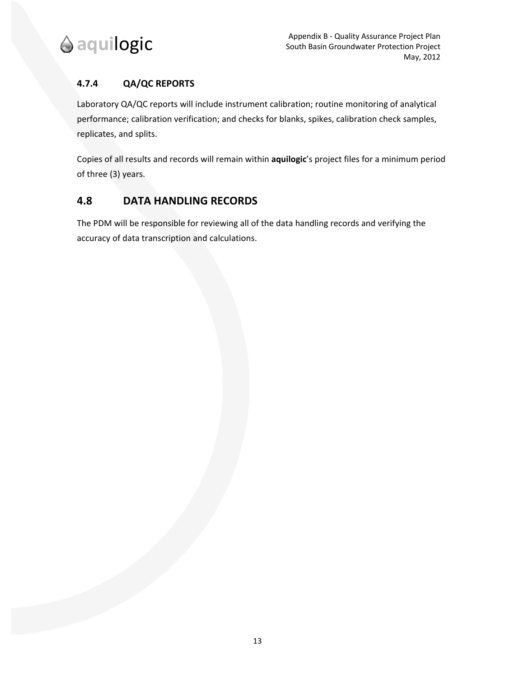

#### **4.7.4 QA/QC REPORTS**

Laboratory QA/QC reports will include instrument calibration; routine monitoring of analytical performance; calibration verification; and checks for blanks, spikes, calibration check samples, replicates, and splits.

Copies of all results and records will remain within **aquilogic**'s project files for a minimum period of three (3) years.

### **4.8 DATA HANDLING RECORDS**

The PDM will be responsible for reviewing all of the data handling records and verifying the accuracy of data transcription and calculations.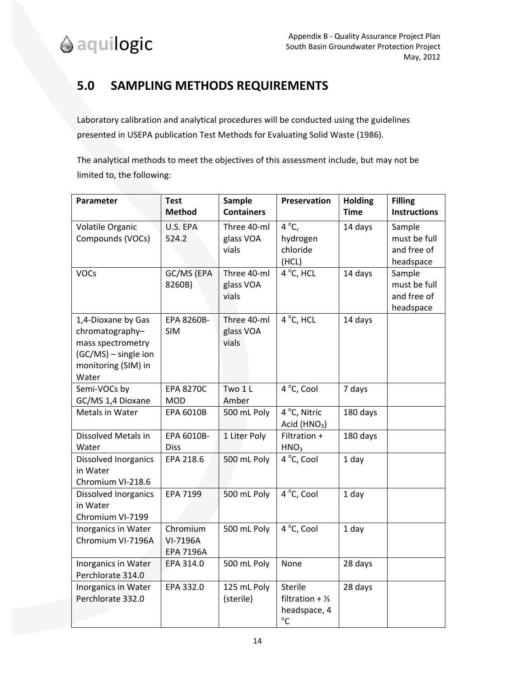# **5.0 SAMPLING METHODS REQUIREMENTS**

Laboratory calibration and analytical procedures will be conducted using the guidelines presented in USEPA publication Test Methods for Evaluating Solid Waste (1986).

The analytical methods to meet the objectives of this assessment include, but may not be limited to, the following:

| Parameter                             | <b>Test</b>      | Sample            | Preservation                   | <b>Holding</b> | <b>Filling</b>      |
|---------------------------------------|------------------|-------------------|--------------------------------|----------------|---------------------|
|                                       | <b>Method</b>    | <b>Containers</b> |                                | <b>Time</b>    | <b>Instructions</b> |
| Volatile Organic                      | U.S. EPA         | Three 40-ml       | $4^{\circ}C$ ,                 | 14 days        | Sample              |
| Compounds (VOCs)                      | 524.2            | glass VOA         | hydrogen                       |                | must be full        |
|                                       |                  | vials             | chloride                       |                | and free of         |
|                                       |                  |                   | (HCL)                          |                | headspace           |
| <b>VOCs</b>                           | GC/MS (EPA       | Three 40-ml       | 4 °C, HCL                      | 14 days        | Sample              |
|                                       | 8260B)           | glass VOA         |                                |                | must be full        |
|                                       |                  | vials             |                                |                | and free of         |
|                                       | EPA 8260B-       | Three 40-ml       | 4 °C, HCL                      | 14 days        | headspace           |
| 1,4-Dioxane by Gas<br>chromatography- | <b>SIM</b>       | glass VOA         |                                |                |                     |
| mass spectrometry                     |                  | vials             |                                |                |                     |
| (GC/MS) - single ion                  |                  |                   |                                |                |                     |
| monitoring (SIM) in                   |                  |                   |                                |                |                     |
| Water                                 |                  |                   |                                |                |                     |
| Semi-VOCs by                          | <b>EPA 8270C</b> | Two 1L            | 4 °C, Cool                     | 7 days         |                     |
| GC/MS 1,4 Dioxane                     | <b>MOD</b>       | Amber             |                                |                |                     |
| Metals in Water                       | EPA 6010B        | 500 mL Poly       | 4 °C, Nitric                   | 180 days       |                     |
|                                       |                  |                   | Acid ( $HNO3$ )                |                |                     |
| Dissolved Metals in                   | EPA 6010B-       | 1 Liter Poly      | Filtration +                   | 180 days       |                     |
| Water                                 | <b>Diss</b>      |                   | HNO <sub>3</sub>               |                |                     |
| Dissolved Inorganics                  | EPA 218.6        | 500 mL Poly       | 4 °C, Cool                     | 1 day          |                     |
| in Water<br>Chromium VI-218.6         |                  |                   |                                |                |                     |
| Dissolved Inorganics                  | EPA 7199         | 500 mL Poly       | $\overline{4}^{\circ}$ C, Cool | 1 day          |                     |
| in Water                              |                  |                   |                                |                |                     |
| Chromium VI-7199                      |                  |                   |                                |                |                     |
| Inorganics in Water                   | Chromium         | 500 mL Poly       | 4 °C, Cool                     | 1 day          |                     |
| Chromium VI-7196A                     | VI-7196A         |                   |                                |                |                     |
|                                       | <b>EPA 7196A</b> |                   |                                |                |                     |
| Inorganics in Water                   | EPA 314.0        | 500 mL Poly       | None                           | 28 days        |                     |
| Perchlorate 314.0                     |                  |                   |                                |                |                     |
| Inorganics in Water                   | EPA 332.0        | 125 mL Poly       | Sterile                        | 28 days        |                     |
| Perchlorate 332.0                     |                  | (sterile)         | filtration + $\frac{1}{3}$     |                |                     |
|                                       |                  |                   | headspace, 4                   |                |                     |
|                                       |                  |                   | $^{\circ}$ C                   |                |                     |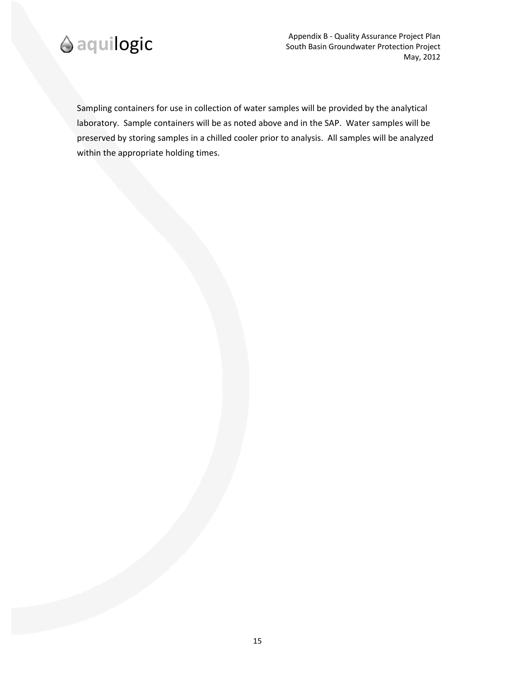

Appendix B ‐ Quality Assurance Project Plan South Basin Groundwater Protection Project May, 2012

Sampling containers for use in collection of water samples will be provided by the analytical laboratory. Sample containers will be as noted above and in the SAP. Water samples will be preserved by storing samples in a chilled cooler prior to analysis. All samples will be analyzed within the appropriate holding times.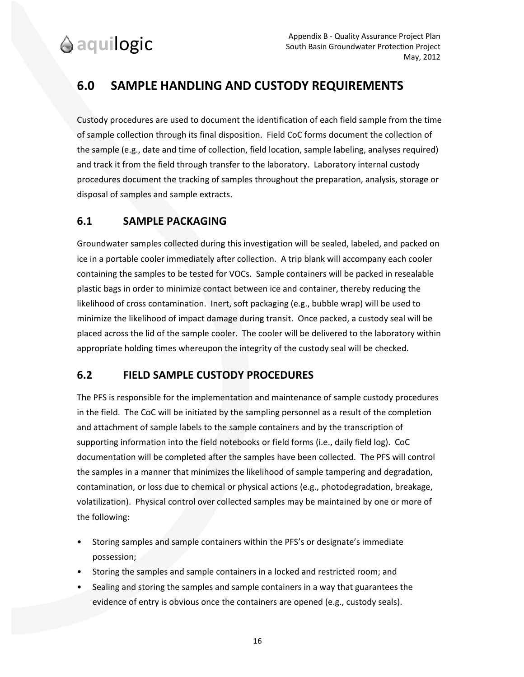# **6.0 SAMPLE HANDLING AND CUSTODY REQUIREMENTS**

Custody procedures are used to document the identification of each field sample from the time of sample collection through its final disposition. Field CoC forms document the collection of the sample (e.g., date and time of collection, field location, sample labeling, analyses required) and track it from the field through transfer to the laboratory. Laboratory internal custody procedures document the tracking of samples throughout the preparation, analysis, storage or disposal of samples and sample extracts.

### **6.1 SAMPLE PACKAGING**

Groundwater samples collected during this investigation will be sealed, labeled, and packed on ice in a portable cooler immediately after collection. A trip blank will accompany each cooler containing the samples to be tested for VOCs. Sample containers will be packed in resealable plastic bags in order to minimize contact between ice and container, thereby reducing the likelihood of cross contamination. Inert, soft packaging (e.g., bubble wrap) will be used to minimize the likelihood of impact damage during transit. Once packed, a custody seal will be placed across the lid of the sample cooler. The cooler will be delivered to the laboratory within appropriate holding times whereupon the integrity of the custody seal will be checked.

### **6.2 FIELD SAMPLE CUSTODY PROCEDURES**

The PFS is responsible for the implementation and maintenance of sample custody procedures in the field. The CoC will be initiated by the sampling personnel as a result of the completion and attachment of sample labels to the sample containers and by the transcription of supporting information into the field notebooks or field forms (i.e., daily field log). CoC documentation will be completed after the samples have been collected. The PFS will control the samples in a manner that minimizes the likelihood of sample tampering and degradation, contamination, or loss due to chemical or physical actions (e.g., photodegradation, breakage, volatilization). Physical control over collected samples may be maintained by one or more of the following:

- Storing samples and sample containers within the PFS's or designate's immediate possession;
- Storing the samples and sample containers in a locked and restricted room; and
- Sealing and storing the samples and sample containers in a way that guarantees the evidence of entry is obvious once the containers are opened (e.g., custody seals).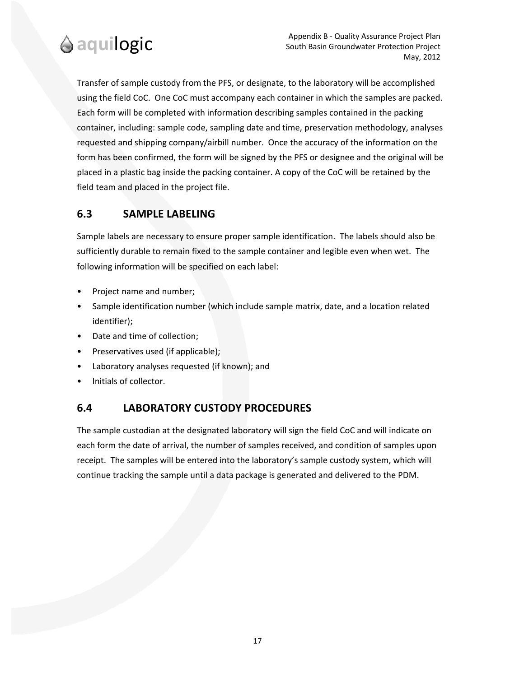

Transfer of sample custody from the PFS, or designate, to the laboratory will be accomplished using the field CoC. One CoC must accompany each container in which the samples are packed. Each form will be completed with information describing samples contained in the packing container, including: sample code, sampling date and time, preservation methodology, analyses requested and shipping company/airbill number. Once the accuracy of the information on the form has been confirmed, the form will be signed by the PFS or designee and the original will be placed in a plastic bag inside the packing container. A copy of the CoC will be retained by the field team and placed in the project file.

### **6.3 SAMPLE LABELING**

Sample labels are necessary to ensure proper sample identification. The labels should also be sufficiently durable to remain fixed to the sample container and legible even when wet. The following information will be specified on each label:

- Project name and number;
- Sample identification number (which include sample matrix, date, and a location related identifier);
- Date and time of collection;
- Preservatives used (if applicable);
- Laboratory analyses requested (if known); and
- Initials of collector.

### **6.4 LABORATORY CUSTODY PROCEDURES**

The sample custodian at the designated laboratory will sign the field CoC and will indicate on each form the date of arrival, the number of samples received, and condition of samples upon receipt. The samples will be entered into the laboratory's sample custody system, which will continue tracking the sample until a data package is generated and delivered to the PDM.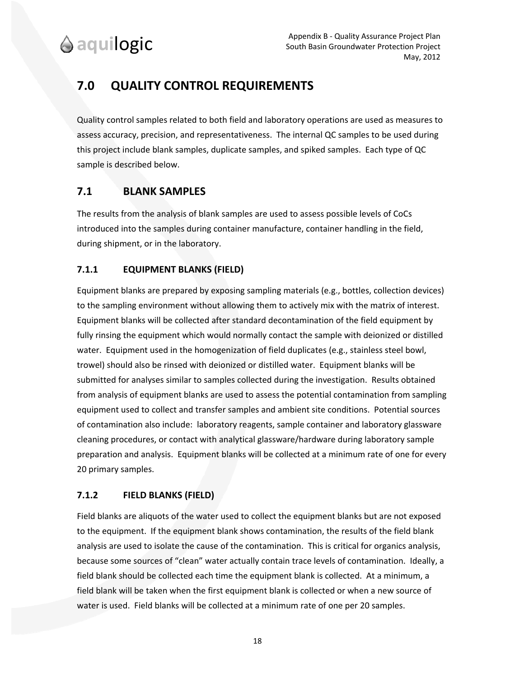# **7.0 QUALITY CONTROL REQUIREMENTS**

Quality control samples related to both field and laboratory operations are used as measures to assess accuracy, precision, and representativeness. The internal QC samples to be used during this project include blank samples, duplicate samples, and spiked samples. Each type of QC sample is described below.

### **7.1 BLANK SAMPLES**

The results from the analysis of blank samples are used to assess possible levels of CoCs introduced into the samples during container manufacture, container handling in the field, during shipment, or in the laboratory.

### **7.1.1 EQUIPMENT BLANKS (FIELD)**

Equipment blanks are prepared by exposing sampling materials (e.g., bottles, collection devices) to the sampling environment without allowing them to actively mix with the matrix of interest. Equipment blanks will be collected after standard decontamination of the field equipment by fully rinsing the equipment which would normally contact the sample with deionized or distilled water. Equipment used in the homogenization of field duplicates (e.g., stainless steel bowl, trowel) should also be rinsed with deionized or distilled water. Equipment blanks will be submitted for analyses similar to samples collected during the investigation. Results obtained from analysis of equipment blanks are used to assess the potential contamination from sampling equipment used to collect and transfer samples and ambient site conditions. Potential sources of contamination also include: laboratory reagents, sample container and laboratory glassware cleaning procedures, or contact with analytical glassware/hardware during laboratory sample preparation and analysis. Equipment blanks will be collected at a minimum rate of one for every 20 primary samples.

#### **7.1.2 FIELD BLANKS (FIELD)**

Field blanks are aliquots of the water used to collect the equipment blanks but are not exposed to the equipment. If the equipment blank shows contamination, the results of the field blank analysis are used to isolate the cause of the contamination. This is critical for organics analysis, because some sources of "clean" water actually contain trace levels of contamination. Ideally, a field blank should be collected each time the equipment blank is collected. At a minimum, a field blank will be taken when the first equipment blank is collected or when a new source of water is used. Field blanks will be collected at a minimum rate of one per 20 samples.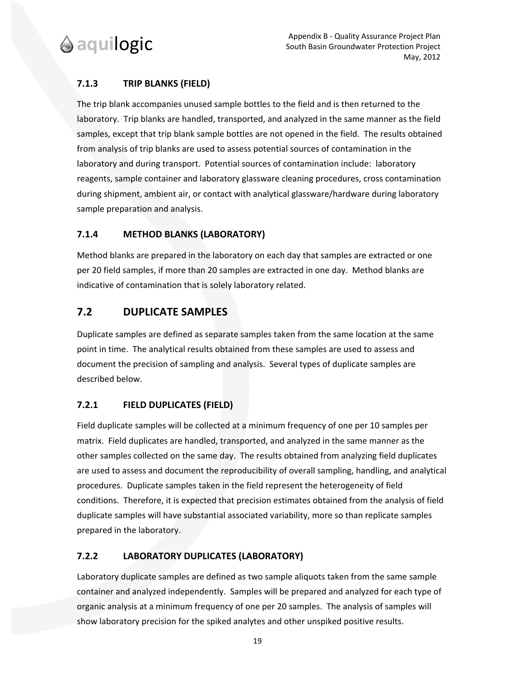

#### **7.1.3 TRIP BLANKS (FIELD)**

The trip blank accompanies unused sample bottles to the field and is then returned to the laboratory. Trip blanks are handled, transported, and analyzed in the same manner as the field samples, except that trip blank sample bottles are not opened in the field. The results obtained from analysis of trip blanks are used to assess potential sources of contamination in the laboratory and during transport. Potential sources of contamination include: laboratory reagents, sample container and laboratory glassware cleaning procedures, cross contamination during shipment, ambient air, or contact with analytical glassware/hardware during laboratory sample preparation and analysis.

#### **7.1.4 METHOD BLANKS (LABORATORY)**

Method blanks are prepared in the laboratory on each day that samples are extracted or one per 20 field samples, if more than 20 samples are extracted in one day. Method blanks are indicative of contamination that is solely laboratory related.

#### **7.2 DUPLICATE SAMPLES**

Duplicate samples are defined as separate samples taken from the same location at the same point in time. The analytical results obtained from these samples are used to assess and document the precision of sampling and analysis. Several types of duplicate samples are described below.

#### **7.2.1 FIELD DUPLICATES (FIELD)**

Field duplicate samples will be collected at a minimum frequency of one per 10 samples per matrix. Field duplicates are handled, transported, and analyzed in the same manner as the other samples collected on the same day. The results obtained from analyzing field duplicates are used to assess and document the reproducibility of overall sampling, handling, and analytical procedures. Duplicate samples taken in the field represent the heterogeneity of field conditions. Therefore, it is expected that precision estimates obtained from the analysis of field duplicate samples will have substantial associated variability, more so than replicate samples prepared in the laboratory.

#### **7.2.2 LABORATORY DUPLICATES (LABORATORY)**

Laboratory duplicate samples are defined as two sample aliquots taken from the same sample container and analyzed independently. Samples will be prepared and analyzed for each type of organic analysis at a minimum frequency of one per 20 samples. The analysis of samples will show laboratory precision for the spiked analytes and other unspiked positive results.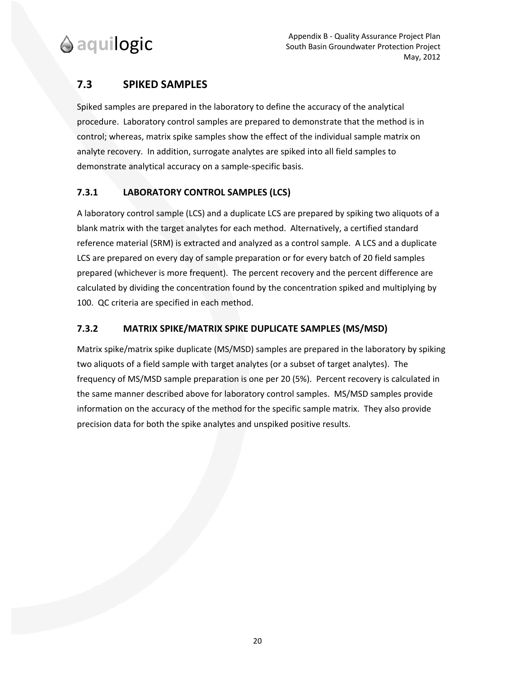### **7.3 SPIKED SAMPLES**

Spiked samples are prepared in the laboratory to define the accuracy of the analytical procedure. Laboratory control samples are prepared to demonstrate that the method is in control; whereas, matrix spike samples show the effect of the individual sample matrix on analyte recovery. In addition, surrogate analytes are spiked into all field samples to demonstrate analytical accuracy on a sample‐specific basis.

#### **7.3.1 LABORATORY CONTROL SAMPLES (LCS)**

A laboratory control sample (LCS) and a duplicate LCS are prepared by spiking two aliquots of a blank matrix with the target analytes for each method. Alternatively, a certified standard reference material (SRM) is extracted and analyzed as a control sample. A LCS and a duplicate LCS are prepared on every day of sample preparation or for every batch of 20 field samples prepared (whichever is more frequent). The percent recovery and the percent difference are calculated by dividing the concentration found by the concentration spiked and multiplying by 100. QC criteria are specified in each method.

#### **7.3.2 MATRIX SPIKE/MATRIX SPIKE DUPLICATE SAMPLES (MS/MSD)**

Matrix spike/matrix spike duplicate (MS/MSD) samples are prepared in the laboratory by spiking two aliquots of a field sample with target analytes (or a subset of target analytes). The frequency of MS/MSD sample preparation is one per 20 (5%). Percent recovery is calculated in the same manner described above for laboratory control samples. MS/MSD samples provide information on the accuracy of the method for the specific sample matrix. They also provide precision data for both the spike analytes and unspiked positive results.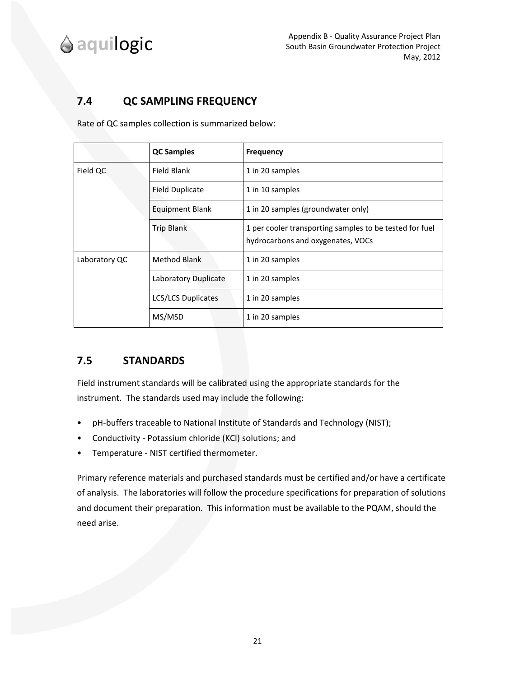## **7.4 QC SAMPLING FREQUENCY**

Rate of QC samples collection is summarized below:

|                        | <b>QC Samples</b>         | <b>Frequency</b>                                                                             |  |  |
|------------------------|---------------------------|----------------------------------------------------------------------------------------------|--|--|
| Field QC               | Field Blank               | 1 in 20 samples                                                                              |  |  |
|                        | <b>Field Duplicate</b>    | 1 in 10 samples                                                                              |  |  |
| <b>Equipment Blank</b> |                           | 1 in 20 samples (groundwater only)                                                           |  |  |
|                        | <b>Trip Blank</b>         | 1 per cooler transporting samples to be tested for fuel<br>hydrocarbons and oxygenates, VOCs |  |  |
| Laboratory QC          | <b>Method Blank</b>       | 1 in 20 samples                                                                              |  |  |
|                        | Laboratory Duplicate      | 1 in 20 samples                                                                              |  |  |
|                        | <b>LCS/LCS Duplicates</b> | 1 in 20 samples                                                                              |  |  |
|                        | MS/MSD                    | 1 in 20 samples                                                                              |  |  |

### **7.5 STANDARDS**

Field instrument standards will be calibrated using the appropriate standards for the instrument. The standards used may include the following:

- pH-buffers traceable to National Institute of Standards and Technology (NIST);
- Conductivity ‐ Potassium chloride (KCl) solutions; and
- Temperature ‐ NIST certified thermometer.

Primary reference materials and purchased standards must be certified and/or have a certificate of analysis. The laboratories will follow the procedure specifications for preparation of solutions and document their preparation. This information must be available to the PQAM, should the need arise.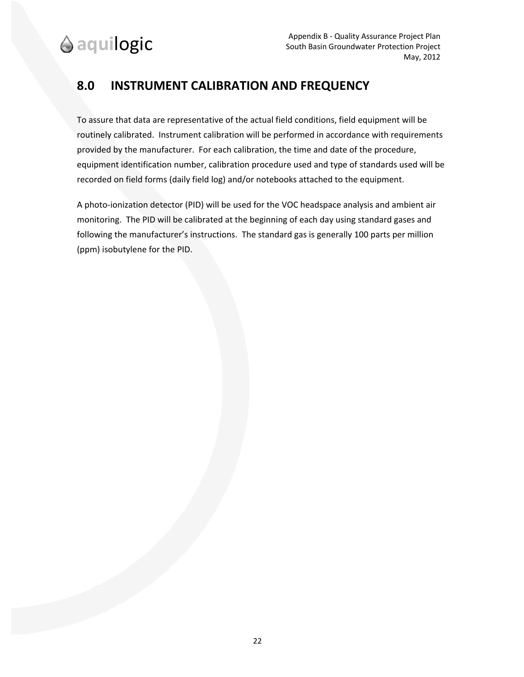# **8.0 INSTRUMENT CALIBRATION AND FREQUENCY**

To assure that data are representative of the actual field conditions, field equipment will be routinely calibrated. Instrument calibration will be performed in accordance with requirements provided by the manufacturer. For each calibration, the time and date of the procedure, equipment identification number, calibration procedure used and type of standards used will be recorded on field forms (daily field log) and/or notebooks attached to the equipment.

A photo‐ionization detector (PID) will be used for the VOC headspace analysis and ambient air monitoring. The PID will be calibrated at the beginning of each day using standard gases and following the manufacturer's instructions. The standard gas is generally 100 parts per million (ppm) isobutylene for the PID.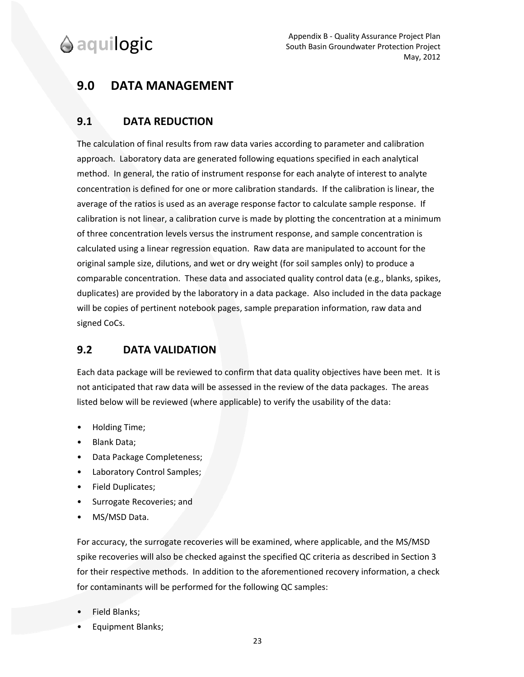# **9.0 DATA MANAGEMENT**

### **9.1 DATA REDUCTION**

The calculation of final results from raw data varies according to parameter and calibration approach. Laboratory data are generated following equations specified in each analytical method. In general, the ratio of instrument response for each analyte of interest to analyte concentration is defined for one or more calibration standards. If the calibration is linear, the average of the ratios is used as an average response factor to calculate sample response. If calibration is not linear, a calibration curve is made by plotting the concentration at a minimum of three concentration levels versus the instrument response, and sample concentration is calculated using a linear regression equation. Raw data are manipulated to account for the original sample size, dilutions, and wet or dry weight (for soil samples only) to produce a comparable concentration. These data and associated quality control data (e.g., blanks, spikes, duplicates) are provided by the laboratory in a data package. Also included in the data package will be copies of pertinent notebook pages, sample preparation information, raw data and signed CoCs.

## **9.2 DATA VALIDATION**

Each data package will be reviewed to confirm that data quality objectives have been met. It is not anticipated that raw data will be assessed in the review of the data packages. The areas listed below will be reviewed (where applicable) to verify the usability of the data:

- Holding Time;
- Blank Data;
- Data Package Completeness;
- Laboratory Control Samples;
- Field Duplicates;
- Surrogate Recoveries; and
- MS/MSD Data.

For accuracy, the surrogate recoveries will be examined, where applicable, and the MS/MSD spike recoveries will also be checked against the specified QC criteria as described in Section 3 for their respective methods. In addition to the aforementioned recovery information, a check for contaminants will be performed for the following QC samples:

- Field Blanks;
- Equipment Blanks;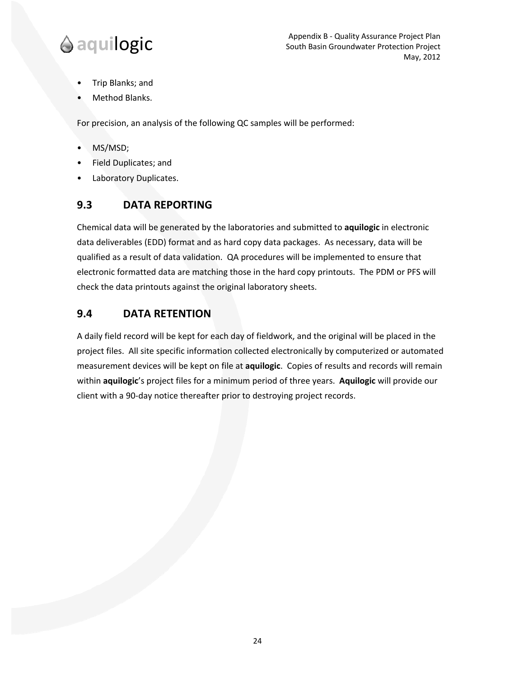- Trip Blanks; and
- Method Blanks.

For precision, an analysis of the following QC samples will be performed:

- MS/MSD;
- Field Duplicates; and
- Laboratory Duplicates.

### **9.3 DATA REPORTING**

Chemical data will be generated by the laboratories and submitted to **aquilogic** in electronic data deliverables (EDD) format and as hard copy data packages. As necessary, data will be qualified as a result of data validation. QA procedures will be implemented to ensure that electronic formatted data are matching those in the hard copy printouts. The PDM or PFS will check the data printouts against the original laboratory sheets.

### **9.4 DATA RETENTION**

A daily field record will be kept for each day of fieldwork, and the original will be placed in the project files. All site specific information collected electronically by computerized or automated measurement devices will be kept on file at **aquilogic**. Copies of results and records will remain within **aquilogic**'s project files for a minimum period of three years. **Aquilogic** will provide our client with a 90‐day notice thereafter prior to destroying project records.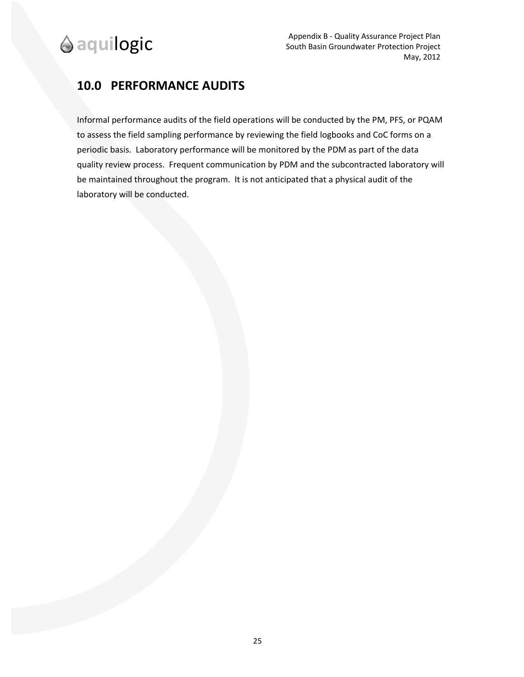# **10.0 PERFORMANCE AUDITS**

Informal performance audits of the field operations will be conducted by the PM, PFS, or PQAM to assess the field sampling performance by reviewing the field logbooks and CoC forms on a periodic basis. Laboratory performance will be monitored by the PDM as part of the data quality review process. Frequent communication by PDM and the subcontracted laboratory will be maintained throughout the program. It is not anticipated that a physical audit of the laboratory will be conducted.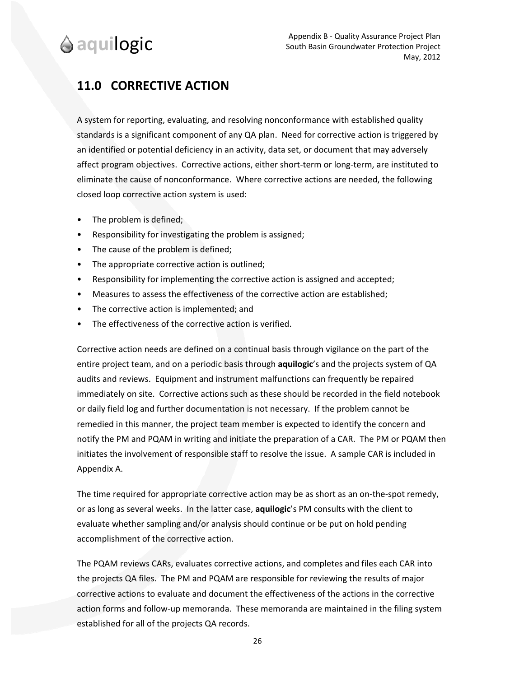# **11.0 CORRECTIVE ACTION**

A system for reporting, evaluating, and resolving nonconformance with established quality standards is a significant component of any QA plan. Need for corrective action is triggered by an identified or potential deficiency in an activity, data set, or document that may adversely affect program objectives. Corrective actions, either short-term or long-term, are instituted to eliminate the cause of nonconformance. Where corrective actions are needed, the following closed loop corrective action system is used:

- The problem is defined;
- Responsibility for investigating the problem is assigned;
- The cause of the problem is defined;
- The appropriate corrective action is outlined;
- Responsibility for implementing the corrective action is assigned and accepted;
- Measures to assess the effectiveness of the corrective action are established;
- The corrective action is implemented; and
- The effectiveness of the corrective action is verified.

Corrective action needs are defined on a continual basis through vigilance on the part of the entire project team, and on a periodic basis through **aquilogic**'s and the projects system of QA audits and reviews. Equipment and instrument malfunctions can frequently be repaired immediately on site. Corrective actions such as these should be recorded in the field notebook or daily field log and further documentation is not necessary. If the problem cannot be remedied in this manner, the project team member is expected to identify the concern and notify the PM and PQAM in writing and initiate the preparation of a CAR. The PM or PQAM then initiates the involvement of responsible staff to resolve the issue. A sample CAR is included in Appendix A.

The time required for appropriate corrective action may be as short as an on-the-spot remedy, or as long as several weeks. In the latter case, **aquilogic**'s PM consults with the client to evaluate whether sampling and/or analysis should continue or be put on hold pending accomplishment of the corrective action.

The PQAM reviews CARs, evaluates corrective actions, and completes and files each CAR into the projects QA files. The PM and PQAM are responsible for reviewing the results of major corrective actions to evaluate and document the effectiveness of the actions in the corrective action forms and follow-up memoranda. These memoranda are maintained in the filing system established for all of the projects QA records.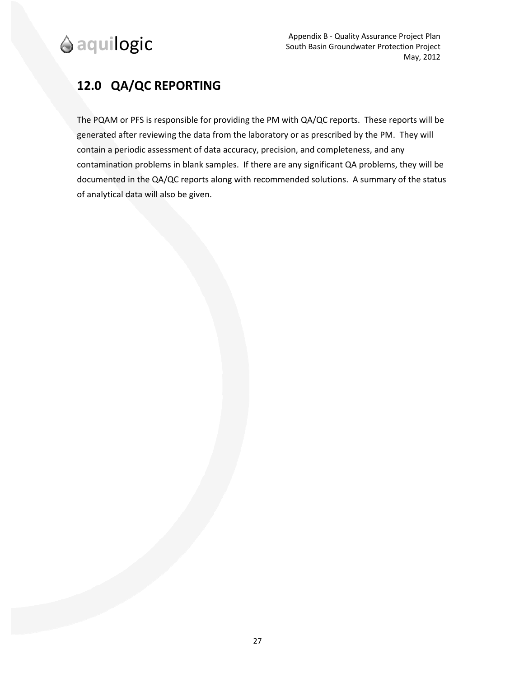# **12.0 QA/QC REPORTING**

The PQAM or PFS is responsible for providing the PM with QA/QC reports. These reports will be generated after reviewing the data from the laboratory or as prescribed by the PM. They will contain a periodic assessment of data accuracy, precision, and completeness, and any contamination problems in blank samples. If there are any significant QA problems, they will be documented in the QA/QC reports along with recommended solutions. A summary of the status of analytical data will also be given.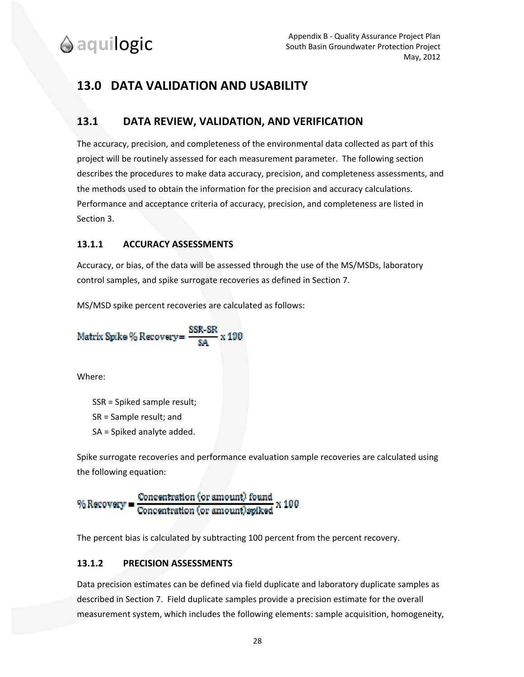# **13.0 DATA VALIDATION AND USABILITY**

### **13.1 DATA REVIEW, VALIDATION, AND VERIFICATION**

The accuracy, precision, and completeness of the environmental data collected as part of this project will be routinely assessed for each measurement parameter. The following section describes the procedures to make data accuracy, precision, and completeness assessments, and the methods used to obtain the information for the precision and accuracy calculations. Performance and acceptance criteria of accuracy, precision, and completeness are listed in Section 3.

#### **13.1.1 ACCURACY ASSESSMENTS**

Accuracy, or bias, of the data will be assessed through the use of the MS/MSDs, laboratory control samples, and spike surrogate recoveries as defined in Section 7.

MS/MSD spike percent recoveries are calculated as follows:

Matrix Spike % Recovery = 
$$
\frac{SSR-SR}{SA} \times 100
$$

Where:

SSR = Spiked sample result;

SR = Sample result; and

SA = Spiked analyte added.

Spike surrogate recoveries and performance evaluation sample recoveries are calculated using the following equation:

% Recovery = 
$$
\frac{\text{Concentration (or amount) found}}{\text{Concentration (or amount) splked}} \times 100
$$

The percent bias is calculated by subtracting 100 percent from the percent recovery.

#### **13.1.2 PRECISION ASSESSMENTS**

Data precision estimates can be defined via field duplicate and laboratory duplicate samples as described in Section 7. Field duplicate samples provide a precision estimate for the overall measurement system, which includes the following elements: sample acquisition, homogeneity,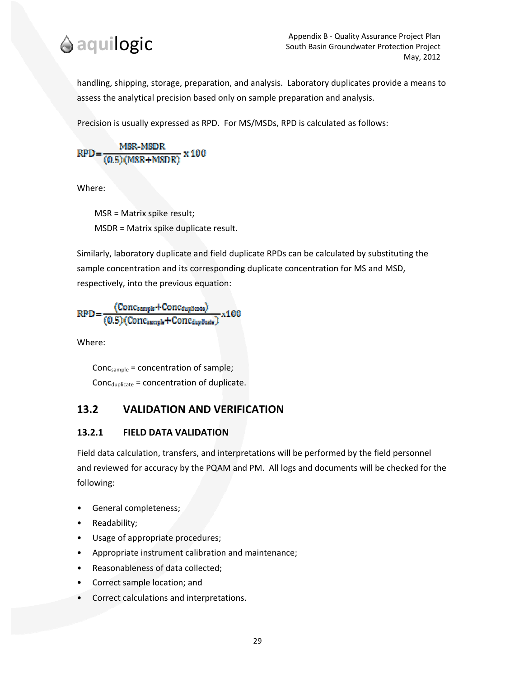

handling, shipping, storage, preparation, and analysis. Laboratory duplicates provide a means to assess the analytical precision based only on sample preparation and analysis.

Precision is usually expressed as RPD. For MS/MSDs, RPD is calculated as follows:

 $\frac{\text{Pack-MLEN}}{(0.5)(\text{MSR}+\text{MSDR})}$  x 100 RPD=

Where:

 MSR = Matrix spike result; MSDR = Matrix spike duplicate result.

Similarly, laboratory duplicate and field duplicate RPDs can be calculated by substituting the sample concentration and its corresponding duplicate concentration for MS and MSD, respectively, into the previous equation:

$$
RPD = \frac{(Conc_{sample} + Conc_{depth})}{(0.5)(Conc_{sample} + Conc_{depth})} \times 100
$$

Where:

Concsample = concentration of sample;  $Conc_{\text{dualicate}} = concentration of duplicate.$ 

#### **13.2 VALIDATION AND VERIFICATION**

#### **13.2.1 FIELD DATA VALIDATION**

Field data calculation, transfers, and interpretations will be performed by the field personnel and reviewed for accuracy by the PQAM and PM. All logs and documents will be checked for the following:

- General completeness;
- Readability;
- Usage of appropriate procedures;
- Appropriate instrument calibration and maintenance;
- Reasonableness of data collected;
- Correct sample location; and
- Correct calculations and interpretations.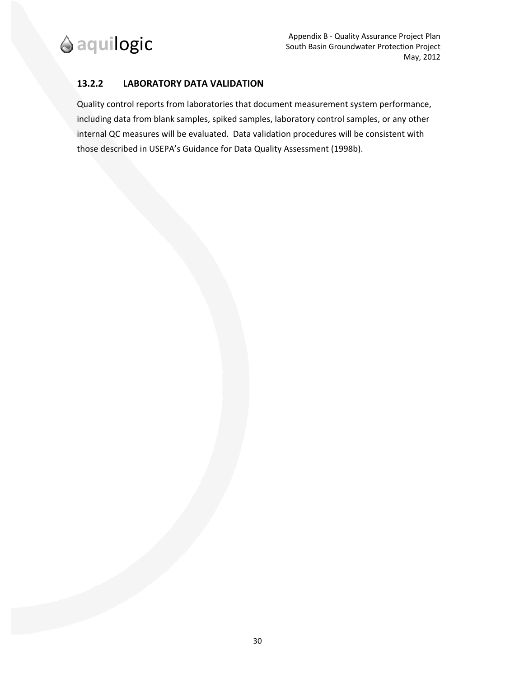

#### **13.2.2 LABORATORY DATA VALIDATION**

Quality control reports from laboratories that document measurement system performance, including data from blank samples, spiked samples, laboratory control samples, or any other internal QC measures will be evaluated. Data validation procedures will be consistent with those described in USEPA's Guidance for Data Quality Assessment (1998b).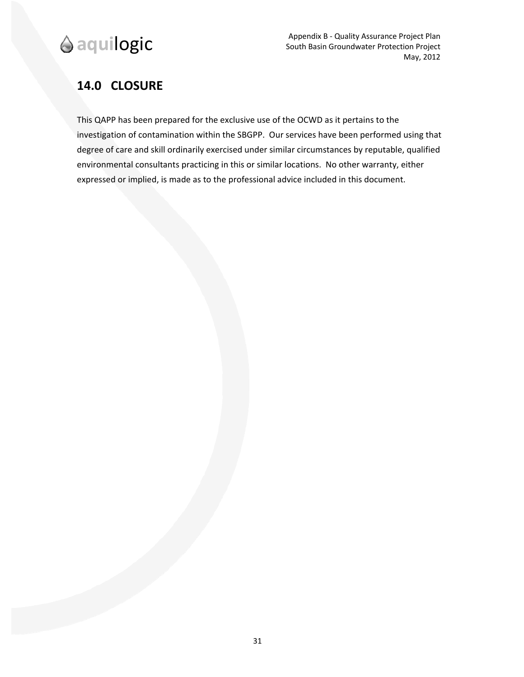

# **14.0 CLOSURE**

This QAPP has been prepared for the exclusive use of the OCWD as it pertains to the investigation of contamination within the SBGPP. Our services have been performed using that degree of care and skill ordinarily exercised under similar circumstances by reputable, qualified environmental consultants practicing in this or similar locations. No other warranty, either expressed or implied, is made as to the professional advice included in this document.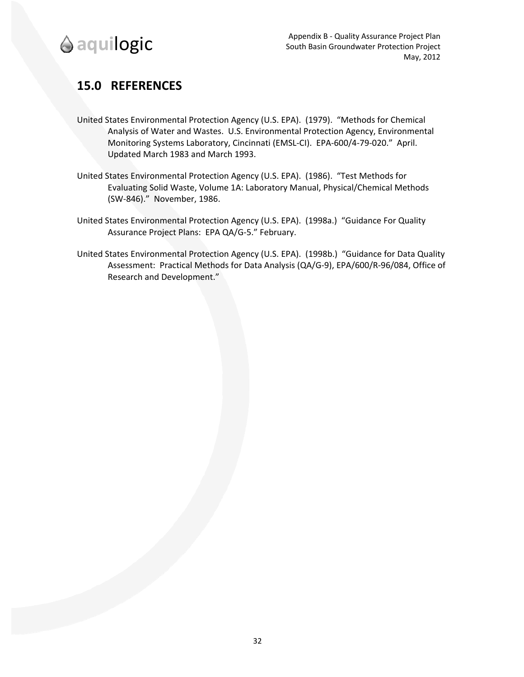

# **15.0 REFERENCES**

- United States Environmental Protection Agency (U.S. EPA). (1979). "Methods for Chemical Analysis of Water and Wastes. U.S. Environmental Protection Agency, Environmental Monitoring Systems Laboratory, Cincinnati (EMSL‐CI). EPA‐600/4‐79‐020." April. Updated March 1983 and March 1993.
- United States Environmental Protection Agency (U.S. EPA). (1986). "Test Methods for Evaluating Solid Waste, Volume 1A: Laboratory Manual, Physical/Chemical Methods (SW‐846)." November, 1986.
- United States Environmental Protection Agency (U.S. EPA). (1998a.) "Guidance For Quality Assurance Project Plans: EPA QA/G‐5." February.
- United States Environmental Protection Agency (U.S. EPA). (1998b.) "Guidance for Data Quality Assessment: Practical Methods for Data Analysis (QA/G‐9), EPA/600/R‐96/084, Office of Research and Development."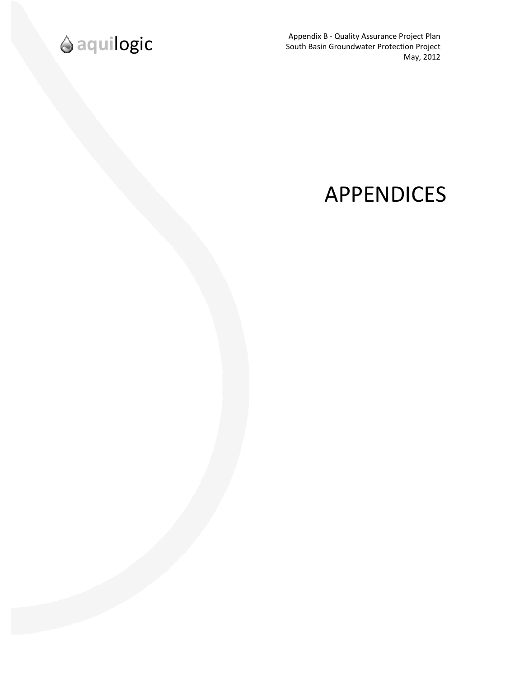

**and Internative Appendix B - Quality Assurance Project Plan**<br>South Basin Groundwater Protection Project May, 2012

# APPENDICES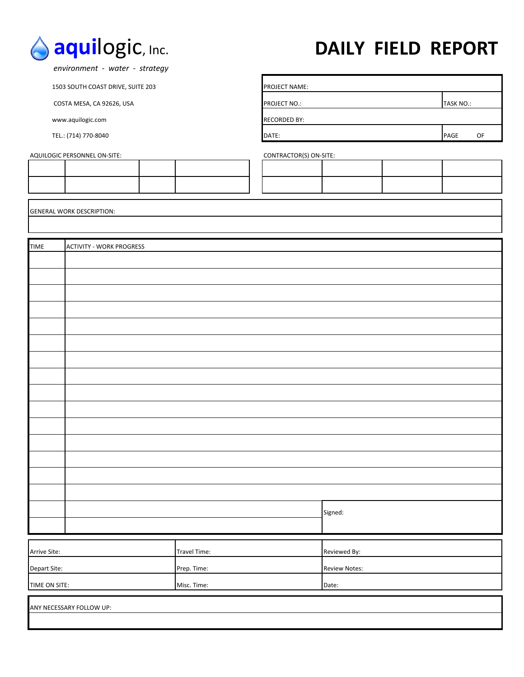

# **aqui**logic, Inc. **DAILY FIELD REPORT**

 *environment ‐ water ‐ strategy*

1503 SOUTH COAST DRIVE, SUITE 203 PROJECT NAME:

www.aquilogic.com **RECORDED BY:** 

AQUILOGIC PERSONNEL ON-SITE: CONTRACTOR(S) ON-SITE:

COSTA MESA, CA 92626, USA PROJECT NO.: PROJECT NO.: TASK NO.: TASK NO.: TASK NO.: TEL.: (714) 770‐8040 DATE: PAGE OF

GENERAL WORK DESCRIPTION:

| <b>TIME</b>   | <b>ACTIVITY - WORK PROGRESS</b> |              |                      |  |  |
|---------------|---------------------------------|--------------|----------------------|--|--|
|               |                                 |              |                      |  |  |
|               |                                 |              |                      |  |  |
|               |                                 |              |                      |  |  |
|               |                                 |              |                      |  |  |
|               |                                 |              |                      |  |  |
|               |                                 |              |                      |  |  |
|               |                                 |              |                      |  |  |
|               |                                 |              |                      |  |  |
|               |                                 |              |                      |  |  |
|               |                                 |              |                      |  |  |
|               |                                 |              |                      |  |  |
|               |                                 |              |                      |  |  |
|               |                                 |              |                      |  |  |
|               |                                 |              |                      |  |  |
|               |                                 |              |                      |  |  |
|               |                                 |              |                      |  |  |
|               |                                 |              | Signed:              |  |  |
|               |                                 |              |                      |  |  |
|               |                                 |              |                      |  |  |
| Arrive Site:  |                                 | Travel Time: | Reviewed By:         |  |  |
| Depart Site:  |                                 | Prep. Time:  | <b>Review Notes:</b> |  |  |
| TIME ON SITE: |                                 | Misc. Time:  | Date:                |  |  |
|               | ANY NECESSARY FOLLOW UP:        |              |                      |  |  |
|               |                                 |              |                      |  |  |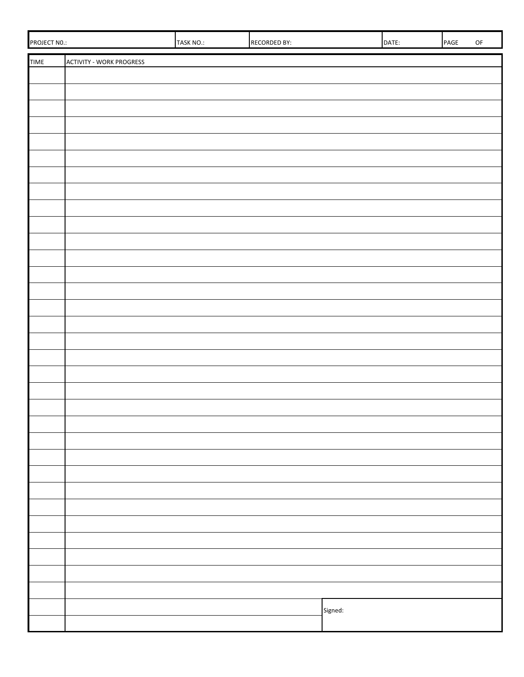| PROJECT NO.: |                                 | TASK NO.: | <b>RECORDED BY:</b> |         | DATE: | PAGE | $\mathsf{OF}% \left( \mathcal{M}\right)$ |
|--------------|---------------------------------|-----------|---------------------|---------|-------|------|------------------------------------------|
| <b>TIME</b>  | <b>ACTIVITY - WORK PROGRESS</b> |           |                     |         |       |      |                                          |
|              |                                 |           |                     |         |       |      |                                          |
|              |                                 |           |                     |         |       |      |                                          |
|              |                                 |           |                     |         |       |      |                                          |
|              |                                 |           |                     |         |       |      |                                          |
|              |                                 |           |                     |         |       |      |                                          |
|              |                                 |           |                     |         |       |      |                                          |
|              |                                 |           |                     |         |       |      |                                          |
|              |                                 |           |                     |         |       |      |                                          |
|              |                                 |           |                     |         |       |      |                                          |
|              |                                 |           |                     |         |       |      |                                          |
|              |                                 |           |                     |         |       |      |                                          |
|              |                                 |           |                     |         |       |      |                                          |
|              |                                 |           |                     |         |       |      |                                          |
|              |                                 |           |                     |         |       |      |                                          |
|              |                                 |           |                     |         |       |      |                                          |
|              |                                 |           |                     |         |       |      |                                          |
|              |                                 |           |                     |         |       |      |                                          |
|              |                                 |           |                     |         |       |      |                                          |
|              |                                 |           |                     |         |       |      |                                          |
|              |                                 |           |                     |         |       |      |                                          |
|              |                                 |           |                     |         |       |      |                                          |
|              |                                 |           |                     |         |       |      |                                          |
|              |                                 |           |                     |         |       |      |                                          |
|              |                                 |           |                     |         |       |      |                                          |
|              |                                 |           |                     |         |       |      |                                          |
|              |                                 |           |                     |         |       |      |                                          |
|              |                                 |           |                     |         |       |      |                                          |
|              |                                 |           |                     |         |       |      |                                          |
|              |                                 |           |                     |         |       |      |                                          |
|              |                                 |           |                     |         |       |      |                                          |
|              |                                 |           |                     |         |       |      |                                          |
|              |                                 |           |                     |         |       |      |                                          |
|              |                                 |           |                     | Signed: |       |      |                                          |
|              |                                 |           |                     |         |       |      |                                          |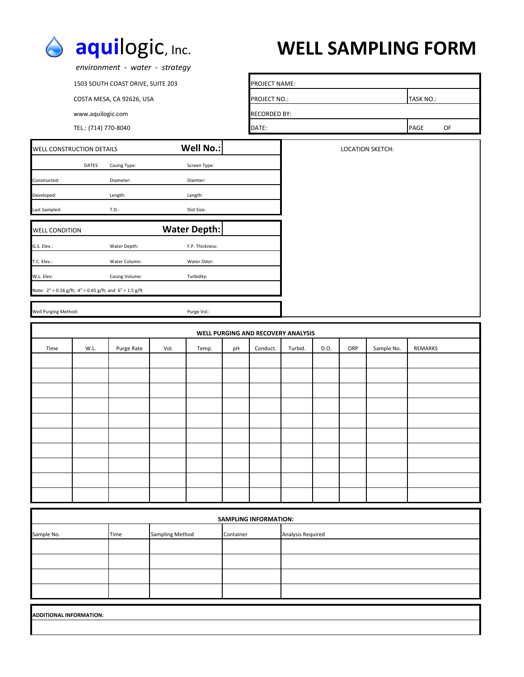

# **aqui**logic, Inc. **WELL SAMPLING FORM**

|                                                         |                      | environment - water - strategy    |                 |                          |           |                              |                                    |      |     |                         |           |    |  |  |  |  |  |
|---------------------------------------------------------|----------------------|-----------------------------------|-----------------|--------------------------|-----------|------------------------------|------------------------------------|------|-----|-------------------------|-----------|----|--|--|--|--|--|
|                                                         |                      | 1503 SOUTH COAST DRIVE, SUITE 203 |                 |                          |           | PROJECT NAME:                |                                    |      |     |                         |           |    |  |  |  |  |  |
|                                                         |                      | COSTA MESA, CA 92626, USA         |                 |                          |           | PROJECT NO.:                 |                                    |      |     |                         | TASK NO.: |    |  |  |  |  |  |
|                                                         | www.aquilogic.com    |                                   |                 |                          |           | <b>RECORDED BY:</b>          |                                    |      |     |                         |           |    |  |  |  |  |  |
|                                                         | TEL.: (714) 770-8040 |                                   |                 |                          |           | DATE:                        |                                    |      |     |                         | PAGE      | OF |  |  |  |  |  |
| <b>WELL CONSTRUCTION DETAILS</b>                        |                      |                                   |                 | <b>Well No.:</b>         |           |                              |                                    |      |     | <b>LOCATION SKETCH:</b> |           |    |  |  |  |  |  |
|                                                         |                      |                                   |                 |                          |           |                              |                                    |      |     |                         |           |    |  |  |  |  |  |
| Constructed:                                            | DATES                | Casing Type:<br>Diameter:         |                 | Screen Type:<br>Diamter: |           |                              |                                    |      |     |                         |           |    |  |  |  |  |  |
|                                                         |                      |                                   |                 |                          |           |                              |                                    |      |     |                         |           |    |  |  |  |  |  |
| Developed:<br>Last Sampled:                             |                      | Length:<br>T.D.:                  |                 | Length:<br>Slot Size:    |           |                              |                                    |      |     |                         |           |    |  |  |  |  |  |
|                                                         |                      |                                   |                 |                          |           |                              |                                    |      |     |                         |           |    |  |  |  |  |  |
| <b>WELL CONDITION</b>                                   |                      |                                   |                 | <b>Water Depth:</b>      |           |                              |                                    |      |     |                         |           |    |  |  |  |  |  |
| G.S. Elev.:                                             |                      | Water Depth:                      |                 | F.P. Thickness:          |           |                              |                                    |      |     |                         |           |    |  |  |  |  |  |
| T.C. Elev.:                                             |                      | Water Column:                     |                 | Water Odor:              |           |                              |                                    |      |     |                         |           |    |  |  |  |  |  |
| W.L. Elev:                                              |                      | Casing Volume:                    |                 | Turbidity:               |           |                              |                                    |      |     |                         |           |    |  |  |  |  |  |
| Note: 2" = 0.16 g/ft; 4" = 0.65 g/ft; and 6" = 1.5 g/ft |                      |                                   |                 |                          |           |                              |                                    |      |     |                         |           |    |  |  |  |  |  |
| Well Purging Method:                                    |                      |                                   |                 | Purge Vol.:              |           |                              |                                    |      |     |                         |           |    |  |  |  |  |  |
|                                                         |                      |                                   |                 |                          |           |                              | WELL PURGING AND RECOVERY ANALYSIS |      |     |                         |           |    |  |  |  |  |  |
| Time                                                    | W.L.                 | Purge Rate                        | Vol.            | Temp.                    | pH        | Conduct.                     | Turbid.                            | D.O. | ORP | Sample No.              | REMARKS   |    |  |  |  |  |  |
|                                                         |                      |                                   |                 |                          |           |                              |                                    |      |     |                         |           |    |  |  |  |  |  |
|                                                         |                      |                                   |                 |                          |           |                              |                                    |      |     |                         |           |    |  |  |  |  |  |
|                                                         |                      |                                   |                 |                          |           |                              |                                    |      |     |                         |           |    |  |  |  |  |  |
|                                                         |                      |                                   |                 |                          |           |                              |                                    |      |     |                         |           |    |  |  |  |  |  |
|                                                         |                      |                                   |                 |                          |           |                              |                                    |      |     |                         |           |    |  |  |  |  |  |
|                                                         |                      |                                   |                 |                          |           |                              |                                    |      |     |                         |           |    |  |  |  |  |  |
|                                                         |                      |                                   |                 |                          |           |                              |                                    |      |     |                         |           |    |  |  |  |  |  |
|                                                         |                      |                                   |                 |                          |           |                              |                                    |      |     |                         |           |    |  |  |  |  |  |
|                                                         |                      |                                   |                 |                          |           |                              |                                    |      |     |                         |           |    |  |  |  |  |  |
|                                                         |                      |                                   |                 |                          |           |                              |                                    |      |     |                         |           |    |  |  |  |  |  |
|                                                         |                      |                                   |                 |                          |           | <b>SAMPLING INFORMATION:</b> |                                    |      |     |                         |           |    |  |  |  |  |  |
| Sample No.                                              |                      | Time                              | Sampling Method |                          | Container |                              | Analysis Required                  |      |     |                         |           |    |  |  |  |  |  |
|                                                         |                      |                                   |                 |                          |           |                              |                                    |      |     |                         |           |    |  |  |  |  |  |
|                                                         |                      |                                   |                 |                          |           |                              |                                    |      |     |                         |           |    |  |  |  |  |  |
|                                                         |                      |                                   |                 |                          |           |                              |                                    |      |     |                         |           |    |  |  |  |  |  |
|                                                         |                      |                                   |                 |                          |           |                              |                                    |      |     |                         |           |    |  |  |  |  |  |
|                                                         |                      |                                   |                 |                          |           |                              |                                    |      |     |                         |           |    |  |  |  |  |  |
| ADDITIONAL INFORMATION:                                 |                      |                                   |                 |                          |           |                              |                                    |      |     |                         |           |    |  |  |  |  |  |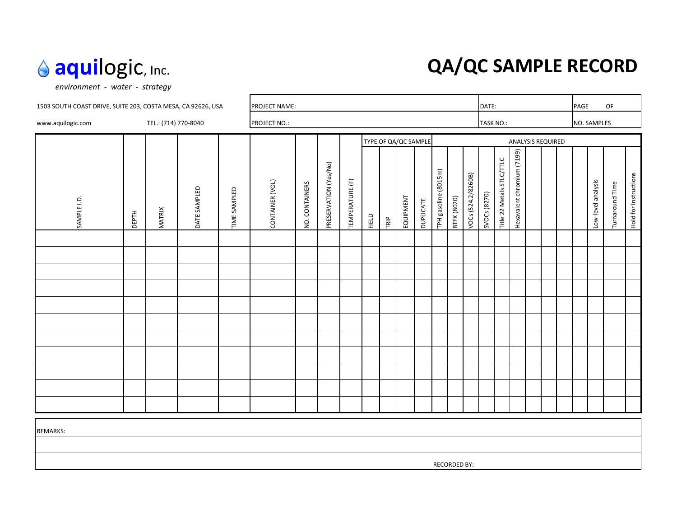# **aqui**logic, Inc. **QA/QC SAMPLE RECORD**

*environment ‐ water ‐ strategy*

| 1503 SOUTH COAST DRIVE, SUITE 203, COSTA MESA, CA 92626, USA |              |                      |              | PROJECT NAME: |                 |                |                       |                 |       |                      | DATE:     |                  |                      |                    |                    | PAGE         |                           | OF                         |  |                          |  |                    |                 |                       |
|--------------------------------------------------------------|--------------|----------------------|--------------|---------------|-----------------|----------------|-----------------------|-----------------|-------|----------------------|-----------|------------------|----------------------|--------------------|--------------------|--------------|---------------------------|----------------------------|--|--------------------------|--|--------------------|-----------------|-----------------------|
| www.aquilogic.com                                            |              | TEL.: (714) 770-8040 |              |               | PROJECT NO.:    |                |                       |                 |       |                      | TASK NO.: |                  |                      |                    | NO. SAMPLES        |              |                           |                            |  |                          |  |                    |                 |                       |
|                                                              |              |                      |              |               |                 |                |                       |                 |       | TYPE OF QA/QC SAMPLE |           |                  |                      |                    |                    |              |                           |                            |  | <b>ANALYSIS REQUIRED</b> |  |                    |                 |                       |
| SAMPLE I.D.                                                  | <b>DEPTH</b> | <b>MATRIX</b>        | DATE SAMPLED | TIME SAMPLED  | CONTAINER (VOL) | NO. CONTAINERS | PRESERVATION (Yes/No) | TEMPERATURE (F) | FIELD | TRIP                 | EQUIPMENT | <b>PUPLICATE</b> | TPH gasoline (8015m) | <b>BTEX (8020)</b> | VOCs (524.2/8260B) | SVOCs (8270) | Title 22 Metals STLC/TTLC | Hexavalent chromium (7199) |  |                          |  | Low-level analysis | Turnaround Time | Hold for Instructions |
|                                                              |              |                      |              |               |                 |                |                       |                 |       |                      |           |                  |                      |                    |                    |              |                           |                            |  |                          |  |                    |                 |                       |
|                                                              |              |                      |              |               |                 |                |                       |                 |       |                      |           |                  |                      |                    |                    |              |                           |                            |  |                          |  |                    |                 |                       |
|                                                              |              |                      |              |               |                 |                |                       |                 |       |                      |           |                  |                      |                    |                    |              |                           |                            |  |                          |  |                    |                 |                       |
|                                                              |              |                      |              |               |                 |                |                       |                 |       |                      |           |                  |                      |                    |                    |              |                           |                            |  |                          |  |                    |                 |                       |
|                                                              |              |                      |              |               |                 |                |                       |                 |       |                      |           |                  |                      |                    |                    |              |                           |                            |  |                          |  |                    |                 |                       |
|                                                              |              |                      |              |               |                 |                |                       |                 |       |                      |           |                  |                      |                    |                    |              |                           |                            |  |                          |  |                    |                 |                       |
|                                                              |              |                      |              |               |                 |                |                       |                 |       |                      |           |                  |                      |                    |                    |              |                           |                            |  |                          |  |                    |                 |                       |
|                                                              |              |                      |              |               |                 |                |                       |                 |       |                      |           |                  |                      |                    |                    |              |                           |                            |  |                          |  |                    |                 |                       |
|                                                              |              |                      |              |               |                 |                |                       |                 |       |                      |           |                  |                      |                    |                    |              |                           |                            |  |                          |  |                    |                 |                       |
|                                                              |              |                      |              |               |                 |                |                       |                 |       |                      |           |                  |                      |                    |                    |              |                           |                            |  |                          |  |                    |                 |                       |
|                                                              |              |                      |              |               |                 |                |                       |                 |       |                      |           |                  |                      |                    |                    |              |                           |                            |  |                          |  |                    |                 |                       |
| <b>REMARKS:</b>                                              |              |                      |              |               |                 |                |                       |                 |       |                      |           |                  |                      |                    |                    |              |                           |                            |  |                          |  |                    |                 |                       |

RECORDED BY: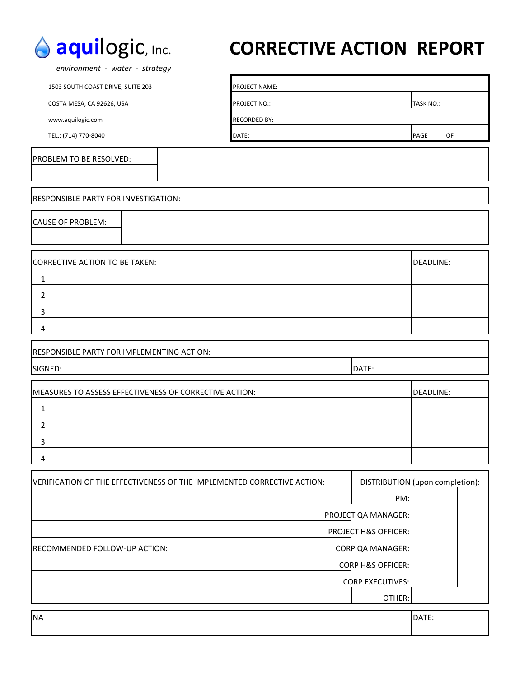

# **aqui**logic, Inc. **CORRECTIVE ACTION REPORT**

 *environment ‐ water ‐ strategy*

1503 SOUTH COAST DRIVE, SUITE 203 PROJECT NAME:

COSTA MESA, CA 92626, USA PROJECT NO.: PROJECT NO.: TASK NO.: TASK NO.: TASK NO.: TASK NO.: TASK NO.: TASK NO.: TASK NO.: TASK NO.: TASK NO.: TASK NO.: TASK NO.: TASK NO.: TASK NO.: TASK NO.: TASK NO.: TASK NO.: TASK NO.:

www.aquilogic.com extensive and a set of the RECORDED BY:

TEL.: (714) 770‐8040 **DATE: DATE:** PAGE OF

#### PROBLEM TO BE RESOLVED:

# RESPONSIBLE PARTY FOR INVESTIGATION:

CAUSE OF PROBLEM:

| CORRECTIVE ACTION TO BE TAKEN: | DEADLINE: |
|--------------------------------|-----------|
|                                |           |
|                                |           |
|                                |           |
|                                |           |

| <b>RESPONSIBLE PARTY FOR IMPLEMENTING ACTION:</b> |       |  |
|---------------------------------------------------|-------|--|
| SIGNED:                                           | DATE: |  |
|                                                   |       |  |

| MEASURES TO ASSESS EFFECTIVENESS OF CORRECTIVE ACTION: | DEADLINE: |
|--------------------------------------------------------|-----------|
|                                                        |           |
|                                                        |           |
|                                                        |           |
|                                                        |           |

| <u>IVERIFICATION OF THE EFFECTIVENESS OF THE IMPLEMENTED CORRECTIVE ACTION:</u> | DISTRIBUTION (upon completion): |       |  |  |  |  |  |  |
|---------------------------------------------------------------------------------|---------------------------------|-------|--|--|--|--|--|--|
|                                                                                 | PM:                             |       |  |  |  |  |  |  |
|                                                                                 | PROJECT QA MANAGER:             |       |  |  |  |  |  |  |
| <b>PROJECT H&amp;S OFFICER:</b>                                                 |                                 |       |  |  |  |  |  |  |
| <b>IRECOMMENDED FOLLOW-UP ACTION:</b>                                           | <b>CORP QA MANAGER:</b>         |       |  |  |  |  |  |  |
|                                                                                 | <b>CORP H&amp;S OFFICER:</b>    |       |  |  |  |  |  |  |
|                                                                                 | <b>CORP EXECUTIVES:</b>         |       |  |  |  |  |  |  |
|                                                                                 | OTHER:                          |       |  |  |  |  |  |  |
| <b>NA</b>                                                                       |                                 | DATE: |  |  |  |  |  |  |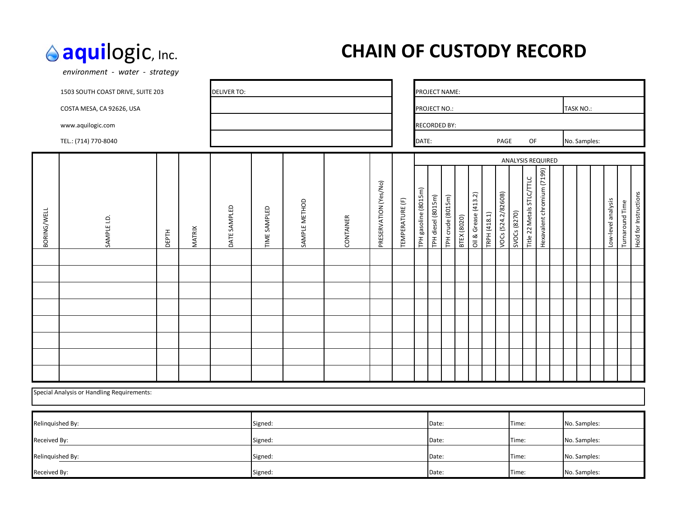*environment ‐ water ‐ strategy*

# **aqui**logic, Inc. **CHAIN OF CUSTODY RECORD**

| <b>DELIVER TO:</b><br>1503 SOUTH COAST DRIVE, SUITE 203 |                                            |       |               |              |              |               |           |                       | PROJECT NAME:   |                           |                     |                   |                    |                      |              |                    |                       |                           |                            |              |  |              |                    |                 |                       |
|---------------------------------------------------------|--------------------------------------------|-------|---------------|--------------|--------------|---------------|-----------|-----------------------|-----------------|---------------------------|---------------------|-------------------|--------------------|----------------------|--------------|--------------------|-----------------------|---------------------------|----------------------------|--------------|--|--------------|--------------------|-----------------|-----------------------|
|                                                         | COSTA MESA, CA 92626, USA                  |       |               |              |              |               |           |                       |                 | TASK NO.:<br>PROJECT NO.: |                     |                   |                    |                      |              |                    |                       |                           |                            |              |  |              |                    |                 |                       |
|                                                         | www.aquilogic.com                          |       |               |              |              |               |           |                       |                 |                           | <b>RECORDED BY:</b> |                   |                    |                      |              |                    |                       |                           |                            |              |  |              |                    |                 |                       |
|                                                         | TEL.: (714) 770-8040                       |       |               |              |              |               |           |                       |                 | DATE:                     |                     |                   |                    |                      |              | PAGE               | OF<br>No. Samples:    |                           |                            |              |  |              |                    |                 |                       |
|                                                         |                                            |       |               |              |              |               |           |                       |                 |                           |                     |                   |                    |                      |              |                    | ANALYSIS REQUIRED     |                           |                            |              |  |              |                    |                 |                       |
| BORING/WELL                                             | SAMPLE I.D.                                | DEPTH | <b>MATRIX</b> | DATE SAMPLED | TIME SAMPLED | SAMPLE METHOD | CONTAINER | PRESERVATION (Yes/No) | TEMPERATURE (F) | TPH gasoline (8015m)      | TPH diesel (8015m)  | TPH crude (8015m) | <b>BTEX (8020)</b> | Oil & Grease (413.2) | TRPH (418.1) | VOCs (524.2/8260B) | SVOCs (8270)          | Title 22 Metals STLC/TTLC | Hexavalent chromium (7199) |              |  |              | Low-level analysis | Turnaround Time | Hold for Instructions |
|                                                         |                                            |       |               |              |              |               |           |                       |                 |                           |                     |                   |                    |                      |              |                    |                       |                           |                            |              |  |              |                    |                 |                       |
|                                                         |                                            |       |               |              |              |               |           |                       |                 |                           |                     |                   |                    |                      |              |                    |                       |                           |                            |              |  |              |                    |                 |                       |
|                                                         |                                            |       |               |              |              |               |           |                       |                 |                           |                     |                   |                    |                      |              |                    |                       |                           |                            |              |  |              |                    |                 |                       |
|                                                         |                                            |       |               |              |              |               |           |                       |                 |                           |                     |                   |                    |                      |              |                    |                       |                           |                            |              |  |              |                    |                 |                       |
|                                                         |                                            |       |               |              |              |               |           |                       |                 |                           |                     |                   |                    |                      |              |                    |                       |                           |                            |              |  |              |                    |                 |                       |
|                                                         |                                            |       |               |              |              |               |           |                       |                 |                           |                     |                   |                    |                      |              |                    |                       |                           |                            |              |  |              |                    |                 |                       |
|                                                         |                                            |       |               |              |              |               |           |                       |                 |                           |                     |                   |                    |                      |              |                    |                       |                           |                            |              |  |              |                    |                 |                       |
|                                                         |                                            |       |               |              |              |               |           |                       |                 |                           |                     |                   |                    |                      |              |                    |                       |                           |                            |              |  |              |                    |                 |                       |
|                                                         | Special Analysis or Handling Requirements: |       |               |              |              |               |           |                       |                 |                           |                     |                   |                    |                      |              |                    |                       |                           |                            |              |  |              |                    |                 |                       |
| Relinquished By:                                        |                                            |       |               |              | Signed:      |               |           |                       |                 |                           | Date:               |                   |                    |                      |              |                    | Time:                 |                           |                            |              |  | No. Samples: |                    |                 |                       |
| Received By:<br>Signed:                                 |                                            |       |               |              |              |               |           |                       | Date:           |                           |                     |                   |                    |                      | Time:        |                    |                       |                           |                            | No. Samples: |  |              |                    |                 |                       |
| Relinquished By:                                        |                                            |       |               |              | Signed:      |               |           |                       |                 |                           | Date:               |                   |                    |                      |              |                    | No. Samples:<br>Time: |                           |                            |              |  |              |                    |                 |                       |
| Received By:                                            |                                            |       |               |              | Signed:      |               |           |                       |                 |                           | Date:               |                   |                    |                      |              |                    | Time:                 |                           |                            |              |  | No. Samples: |                    |                 |                       |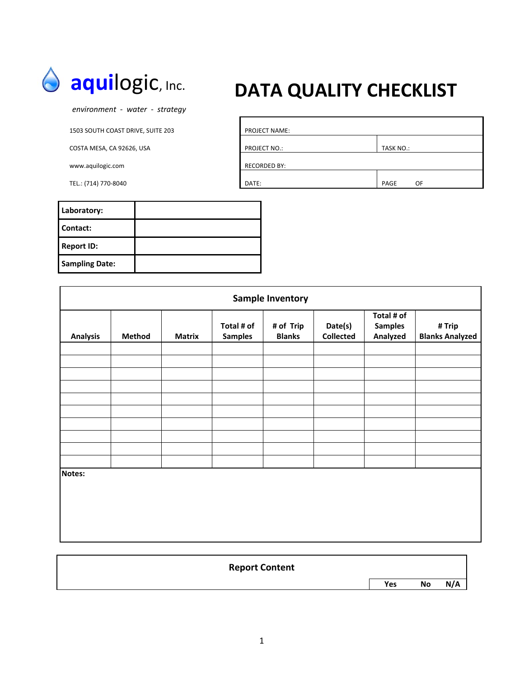

 *environment ‐ water ‐ strategy*

1503 SOUTH COAST DRIVE, SUITE 203

COSTA MESA, CA 92626, USA

www.aquilogic.com

TEL.: (714) 770-8040

# **aquilogic, Inc. DATA QUALITY CHECKLIST**

| PROJECT NAME:       |            |
|---------------------|------------|
| PROJECT NO.:        | TASK NO.:  |
| <b>RECORDED BY:</b> |            |
| DATE:               | PAGE<br>OF |

| Laboratory:           |  |
|-----------------------|--|
| Contact:              |  |
| <b>Report ID:</b>     |  |
| <b>Sampling Date:</b> |  |

| <b>Sample Inventory</b> |        |               |                              |                            |                             |                                          |                                  |  |  |  |  |
|-------------------------|--------|---------------|------------------------------|----------------------------|-----------------------------|------------------------------------------|----------------------------------|--|--|--|--|
| <b>Analysis</b>         | Method | <b>Matrix</b> | Total # of<br><b>Samples</b> | # of Trip<br><b>Blanks</b> | Date(s)<br><b>Collected</b> | Total # of<br><b>Samples</b><br>Analyzed | # Trip<br><b>Blanks Analyzed</b> |  |  |  |  |
|                         |        |               |                              |                            |                             |                                          |                                  |  |  |  |  |
|                         |        |               |                              |                            |                             |                                          |                                  |  |  |  |  |
|                         |        |               |                              |                            |                             |                                          |                                  |  |  |  |  |
|                         |        |               |                              |                            |                             |                                          |                                  |  |  |  |  |
|                         |        |               |                              |                            |                             |                                          |                                  |  |  |  |  |
|                         |        |               |                              |                            |                             |                                          |                                  |  |  |  |  |
|                         |        |               |                              |                            |                             |                                          |                                  |  |  |  |  |
|                         |        |               |                              |                            |                             |                                          |                                  |  |  |  |  |
| Notes:                  |        |               |                              |                            |                             |                                          |                                  |  |  |  |  |

| <b>Report Content</b> |     |    |     |
|-----------------------|-----|----|-----|
|                       | Yes | No | N/A |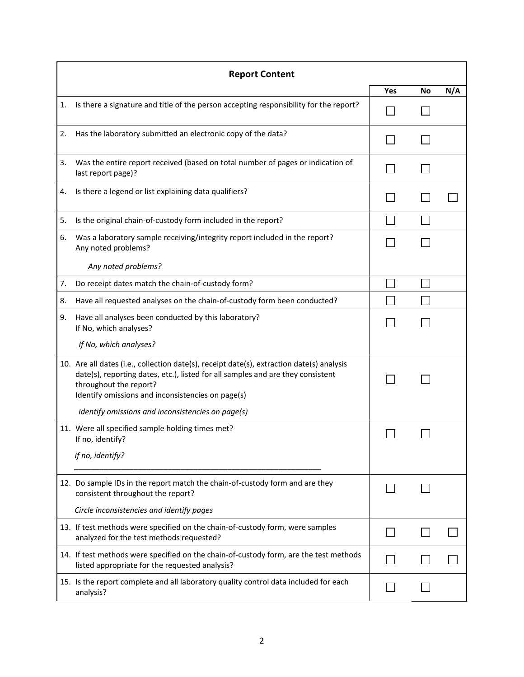|    | <b>Report Content</b>                                                                                                                                                                                                                                       |     |    |     |
|----|-------------------------------------------------------------------------------------------------------------------------------------------------------------------------------------------------------------------------------------------------------------|-----|----|-----|
|    |                                                                                                                                                                                                                                                             | Yes | No | N/A |
| 1. | Is there a signature and title of the person accepting responsibility for the report?                                                                                                                                                                       |     |    |     |
| 2. | Has the laboratory submitted an electronic copy of the data?                                                                                                                                                                                                |     |    |     |
| 3. | Was the entire report received (based on total number of pages or indication of<br>last report page)?                                                                                                                                                       |     |    |     |
| 4. | Is there a legend or list explaining data qualifiers?                                                                                                                                                                                                       |     |    |     |
| 5. | Is the original chain-of-custody form included in the report?                                                                                                                                                                                               |     |    |     |
| 6. | Was a laboratory sample receiving/integrity report included in the report?<br>Any noted problems?                                                                                                                                                           |     |    |     |
|    | Any noted problems?                                                                                                                                                                                                                                         |     |    |     |
| 7. | Do receipt dates match the chain-of-custody form?                                                                                                                                                                                                           |     |    |     |
| 8. | Have all requested analyses on the chain-of-custody form been conducted?                                                                                                                                                                                    |     |    |     |
| 9. | Have all analyses been conducted by this laboratory?<br>If No, which analyses?                                                                                                                                                                              |     |    |     |
|    | If No, which analyses?                                                                                                                                                                                                                                      |     |    |     |
|    | 10. Are all dates (i.e., collection date(s), receipt date(s), extraction date(s) analysis<br>date(s), reporting dates, etc.), listed for all samples and are they consistent<br>throughout the report?<br>Identify omissions and inconsistencies on page(s) |     |    |     |
|    | Identify omissions and inconsistencies on page(s)                                                                                                                                                                                                           |     |    |     |
|    | 11. Were all specified sample holding times met?<br>If no, identify?                                                                                                                                                                                        |     |    |     |
|    | If no, identify?                                                                                                                                                                                                                                            |     |    |     |
|    | 12. Do sample IDs in the report match the chain-of-custody form and are they<br>consistent throughout the report?                                                                                                                                           |     |    |     |
|    | Circle inconsistencies and identify pages                                                                                                                                                                                                                   |     |    |     |
|    | 13. If test methods were specified on the chain-of-custody form, were samples<br>analyzed for the test methods requested?                                                                                                                                   |     |    |     |
|    | 14. If test methods were specified on the chain-of-custody form, are the test methods<br>listed appropriate for the requested analysis?                                                                                                                     |     |    |     |
|    | 15. Is the report complete and all laboratory quality control data included for each<br>analysis?                                                                                                                                                           |     |    |     |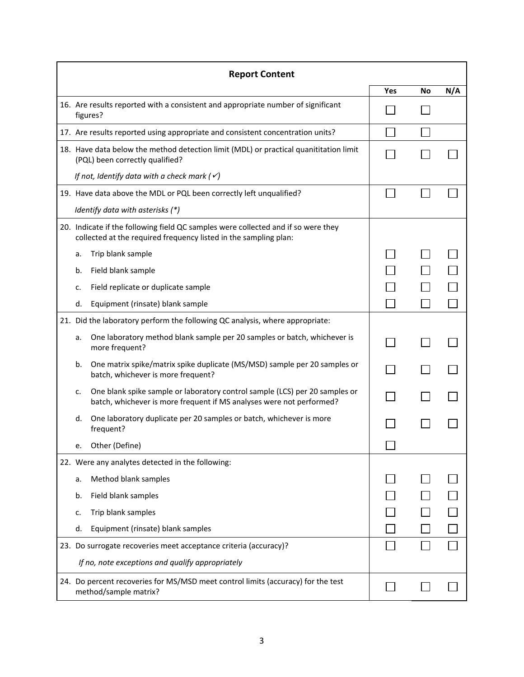| <b>Report Content</b>                                                                                                                                 |                                                                                                                                                     |     |    |     |  |  |
|-------------------------------------------------------------------------------------------------------------------------------------------------------|-----------------------------------------------------------------------------------------------------------------------------------------------------|-----|----|-----|--|--|
|                                                                                                                                                       |                                                                                                                                                     | Yes | No | N/A |  |  |
| 16. Are results reported with a consistent and appropriate number of significant<br>figures?                                                          |                                                                                                                                                     |     |    |     |  |  |
|                                                                                                                                                       | 17. Are results reported using appropriate and consistent concentration units?                                                                      |     |    |     |  |  |
| 18. Have data below the method detection limit (MDL) or practical quanititation limit<br>(PQL) been correctly qualified?                              |                                                                                                                                                     |     |    |     |  |  |
|                                                                                                                                                       | If not, Identify data with a check mark ( $\checkmark$ )                                                                                            |     |    |     |  |  |
|                                                                                                                                                       | 19. Have data above the MDL or PQL been correctly left unqualified?                                                                                 |     |    |     |  |  |
|                                                                                                                                                       | Identify data with asterisks (*)                                                                                                                    |     |    |     |  |  |
| 20. Indicate if the following field QC samples were collected and if so were they<br>collected at the required frequency listed in the sampling plan: |                                                                                                                                                     |     |    |     |  |  |
| a.                                                                                                                                                    | Trip blank sample                                                                                                                                   |     |    |     |  |  |
| b.                                                                                                                                                    | Field blank sample                                                                                                                                  |     |    |     |  |  |
| c.                                                                                                                                                    | Field replicate or duplicate sample                                                                                                                 |     |    |     |  |  |
| d.                                                                                                                                                    | Equipment (rinsate) blank sample                                                                                                                    |     |    |     |  |  |
|                                                                                                                                                       | 21. Did the laboratory perform the following QC analysis, where appropriate:                                                                        |     |    |     |  |  |
| a.                                                                                                                                                    | One laboratory method blank sample per 20 samples or batch, whichever is<br>more frequent?                                                          |     |    |     |  |  |
| b.                                                                                                                                                    | One matrix spike/matrix spike duplicate (MS/MSD) sample per 20 samples or<br>batch, whichever is more frequent?                                     |     |    |     |  |  |
| c.                                                                                                                                                    | One blank spike sample or laboratory control sample (LCS) per 20 samples or<br>batch, whichever is more frequent if MS analyses were not performed? |     |    |     |  |  |
| d.                                                                                                                                                    | One laboratory duplicate per 20 samples or batch, whichever is more<br>frequent?                                                                    |     |    |     |  |  |
| e.                                                                                                                                                    | Other (Define)                                                                                                                                      |     |    |     |  |  |
| 22. Were any analytes detected in the following:                                                                                                      |                                                                                                                                                     |     |    |     |  |  |
| a.                                                                                                                                                    | Method blank samples                                                                                                                                |     |    |     |  |  |
| b.                                                                                                                                                    | Field blank samples                                                                                                                                 |     |    |     |  |  |
| c.                                                                                                                                                    | Trip blank samples                                                                                                                                  |     |    |     |  |  |
| d.                                                                                                                                                    | Equipment (rinsate) blank samples                                                                                                                   |     |    |     |  |  |
| 23. Do surrogate recoveries meet acceptance criteria (accuracy)?                                                                                      |                                                                                                                                                     |     |    |     |  |  |
| If no, note exceptions and qualify appropriately                                                                                                      |                                                                                                                                                     |     |    |     |  |  |
|                                                                                                                                                       | 24. Do percent recoveries for MS/MSD meet control limits (accuracy) for the test<br>method/sample matrix?                                           |     |    |     |  |  |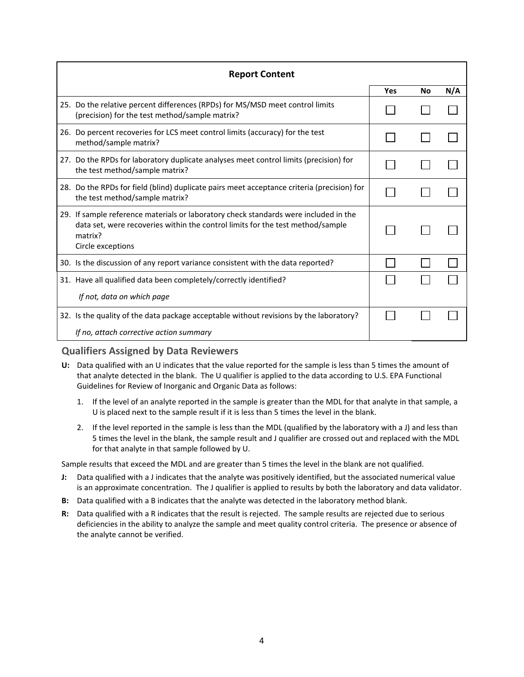| <b>Report Content</b>                                                                                                                                                                                  |            |    |     |  |  |  |
|--------------------------------------------------------------------------------------------------------------------------------------------------------------------------------------------------------|------------|----|-----|--|--|--|
|                                                                                                                                                                                                        | <b>Yes</b> | No | N/A |  |  |  |
| 25. Do the relative percent differences (RPDs) for MS/MSD meet control limits<br>(precision) for the test method/sample matrix?                                                                        |            |    |     |  |  |  |
| 26. Do percent recoveries for LCS meet control limits (accuracy) for the test<br>method/sample matrix?                                                                                                 |            |    |     |  |  |  |
| 27. Do the RPDs for laboratory duplicate analyses meet control limits (precision) for<br>the test method/sample matrix?                                                                                |            |    |     |  |  |  |
| 28. Do the RPDs for field (blind) duplicate pairs meet acceptance criteria (precision) for<br>the test method/sample matrix?                                                                           |            |    |     |  |  |  |
| 29. If sample reference materials or laboratory check standards were included in the<br>data set, were recoveries within the control limits for the test method/sample<br>matrix?<br>Circle exceptions |            |    |     |  |  |  |
| 30. Is the discussion of any report variance consistent with the data reported?                                                                                                                        |            |    |     |  |  |  |
| 31. Have all qualified data been completely/correctly identified?<br>If not, data on which page                                                                                                        |            |    |     |  |  |  |
| 32. Is the quality of the data package acceptable without revisions by the laboratory?<br>If no, attach corrective action summary                                                                      |            |    |     |  |  |  |

#### **Qualifiers Assigned by Data Reviewers**

- **U:** Data qualified with an U indicates that the value reported for the sample is less than 5 times the amount of that analyte detected in the blank. The U qualifier is applied to the data according to U.S. EPA Functional Guidelines for Review of Inorganic and Organic Data as follows:
	- 1. If the level of an analyte reported in the sample is greater than the MDL for that analyte in that sample, a U is placed next to the sample result if it is less than 5 times the level in the blank.
	- 2. If the level reported in the sample is less than the MDL (qualified by the laboratory with a J) and less than 5 times the level in the blank, the sample result and J qualifier are crossed out and replaced with the MDL for that analyte in that sample followed by U.

Sample results that exceed the MDL and are greater than 5 times the level in the blank are not qualified.

- **J:** Data qualified with a J indicates that the analyte was positively identified, but the associated numerical value is an approximate concentration. The J qualifier is applied to results by both the laboratory and data validator.
- **B:** Data qualified with a B indicates that the analyte was detected in the laboratory method blank.
- **R:** Data qualified with a R indicates that the result is rejected. The sample results are rejected due to serious deficiencies in the ability to analyze the sample and meet quality control criteria. The presence or absence of the analyte cannot be verified.